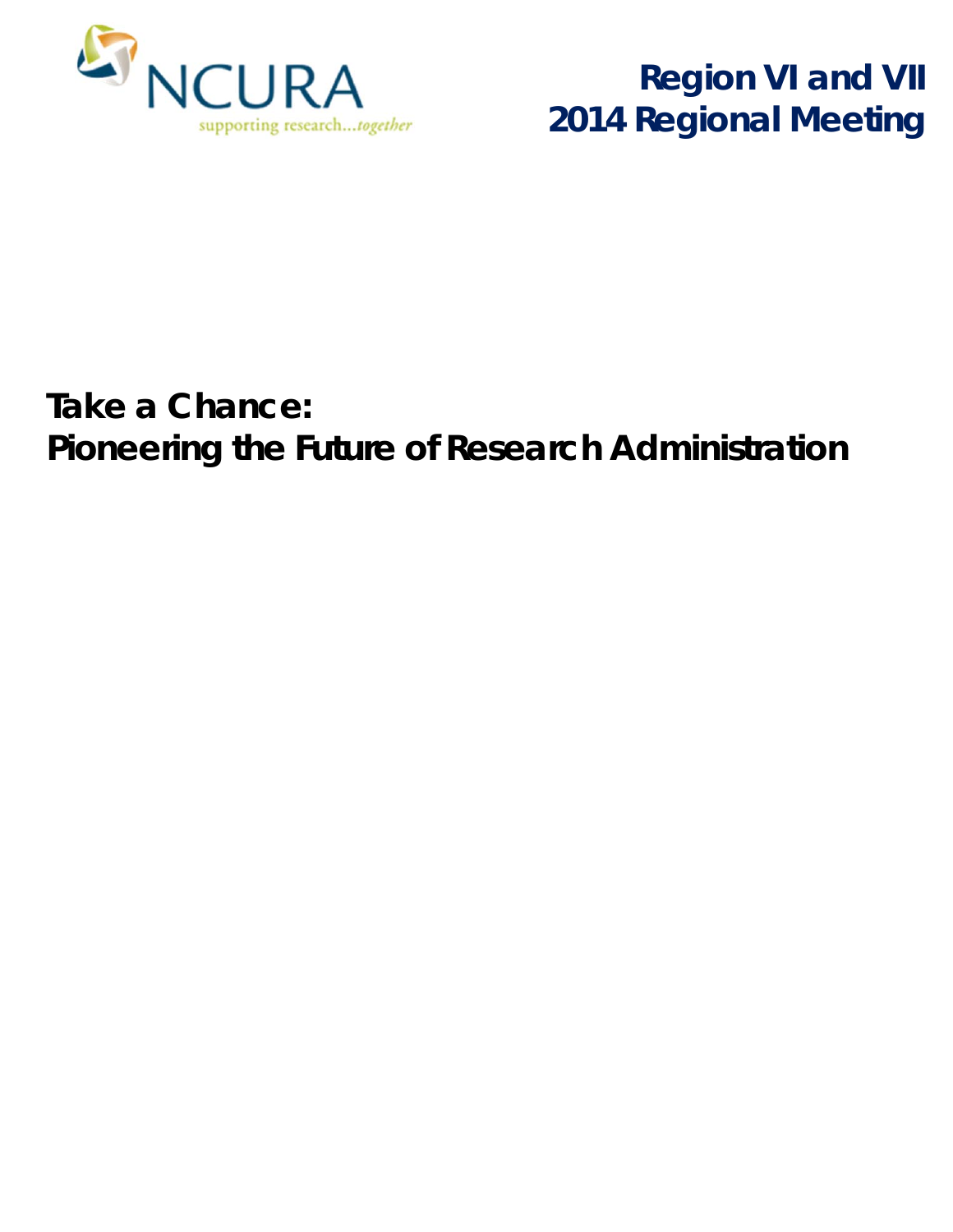

**Region VI and VII 2014 Regional Meeting**

# **Take a Chance:**  *Pioneering the Future of Research Administration*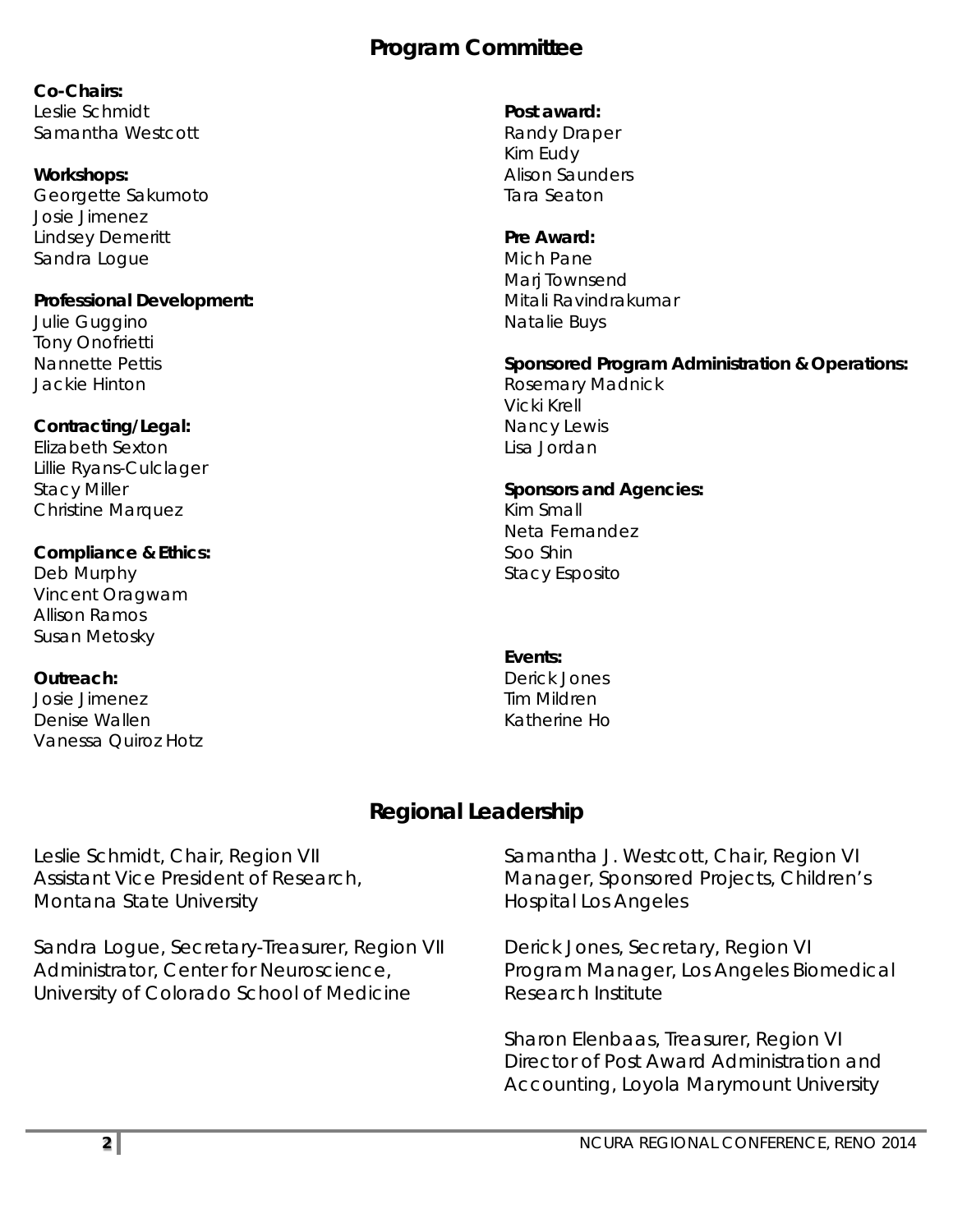## **Program Committee**

**Co-Chairs:**  Leslie Schmidt Samantha Westcott

#### **Workshops:**

Georgette Sakumoto Josie Jimenez Lindsey Demeritt Sandra Logue

#### **Professional Development:**

Julie Guggino Tony Onofrietti Nannette Pettis Jackie Hinton

#### **Contracting/Legal:**

Elizabeth Sexton Lillie Ryans-Culclager Stacy Miller Christine Marquez

#### **Compliance & Ethics:**

Deb Murphy Vincent Oragwam Allison Ramos Susan Metosky

#### **Outreach:**

Josie Jimenez Denise Wallen Vanessa Quiroz Hotz

#### **Post award:**

Randy Draper Kim Eudy Alison Saunders Tara Seaton

#### **Pre Award:**

Mich Pane Mari Townsend Mitali Ravindrakumar Natalie Buys

#### **Sponsored Program Administration & Operations:**

Rosemary Madnick Vicki Krell Nancy Lewis Lisa Jordan

#### **Sponsors and Agencies:**

Kim Small Neta Fernandez Soo Shin Stacy Esposito

#### **Events:**

Derick Jones Tim Mildren Katherine Ho

#### **Regional Leadership**

Leslie Schmidt, Chair, Region VII Assistant Vice President of Research, Montana State University

Sandra Logue, Secretary-Treasurer, Region VII Administrator, Center for Neuroscience, University of Colorado School of Medicine

Samantha J. Westcott, Chair, Region VI Manager, Sponsored Projects, Children's Hospital Los Angeles

Derick Jones, Secretary, Region VI Program Manager, Los Angeles Biomedical Research Institute

Sharon Elenbaas, Treasurer, Region VI Director of Post Award Administration and Accounting, Loyola Marymount University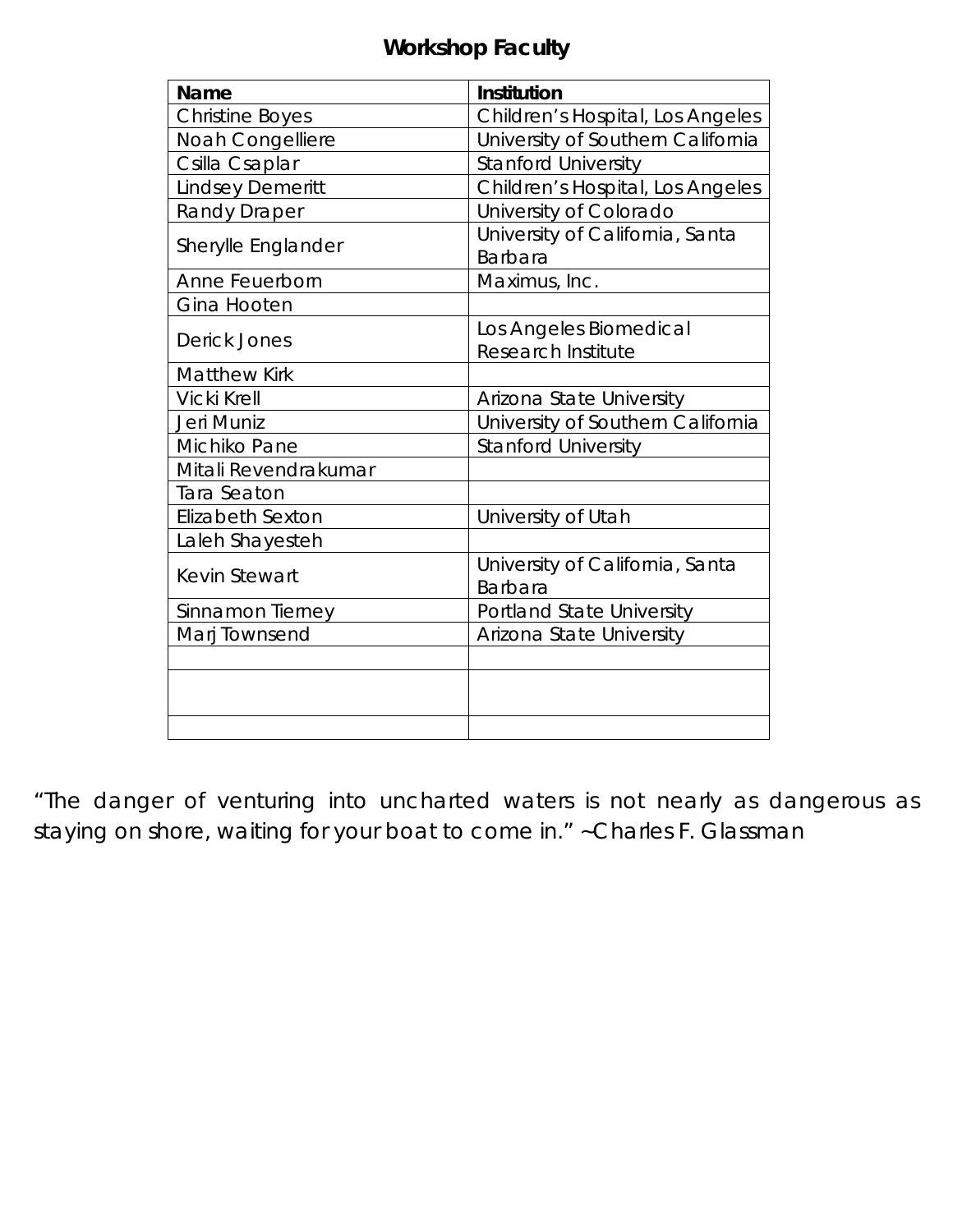## **Workshop Faculty**

| Name                    | Institution                                         |
|-------------------------|-----------------------------------------------------|
| <b>Christine Boyes</b>  | Children's Hospital, Los Angeles                    |
| Noah Congelliere        | University of Southern California                   |
| Csilla Csaplar          | <b>Stanford University</b>                          |
| <b>Lindsey Demeritt</b> | Children's Hospital, Los Angeles                    |
| <b>Randy Draper</b>     | University of Colorado                              |
| Sherylle Englander      | University of California, Santa<br>Barbara          |
| Anne Feuerborn          | Maximus, Inc.                                       |
| Gina Hooten             |                                                     |
| Derick Jones            | Los Angeles Biomedical<br><b>Research Institute</b> |
| <b>Matthew Kirk</b>     |                                                     |
| Vicki Krell             | Arizona State University                            |
| Jeri Muniz              | University of Southern California                   |
| Michiko Pane            | <b>Stanford University</b>                          |
| Mitali Revendrakumar    |                                                     |
| <b>Tara Seaton</b>      |                                                     |
| <b>Elizabeth Sexton</b> | University of Utah                                  |
| Laleh Shayesteh         |                                                     |
| <b>Kevin Stewart</b>    | University of California, Santa<br><b>Barbara</b>   |
| Sinnamon Tierney        | Portland State University                           |
| Marj Townsend           | Arizona State University                            |
|                         |                                                     |
|                         |                                                     |
|                         |                                                     |
|                         |                                                     |

"*The danger of venturing into uncharted waters is not nearly as dangerous as staying on shore, waiting for your boat to come in."* ~Charles F. Glassman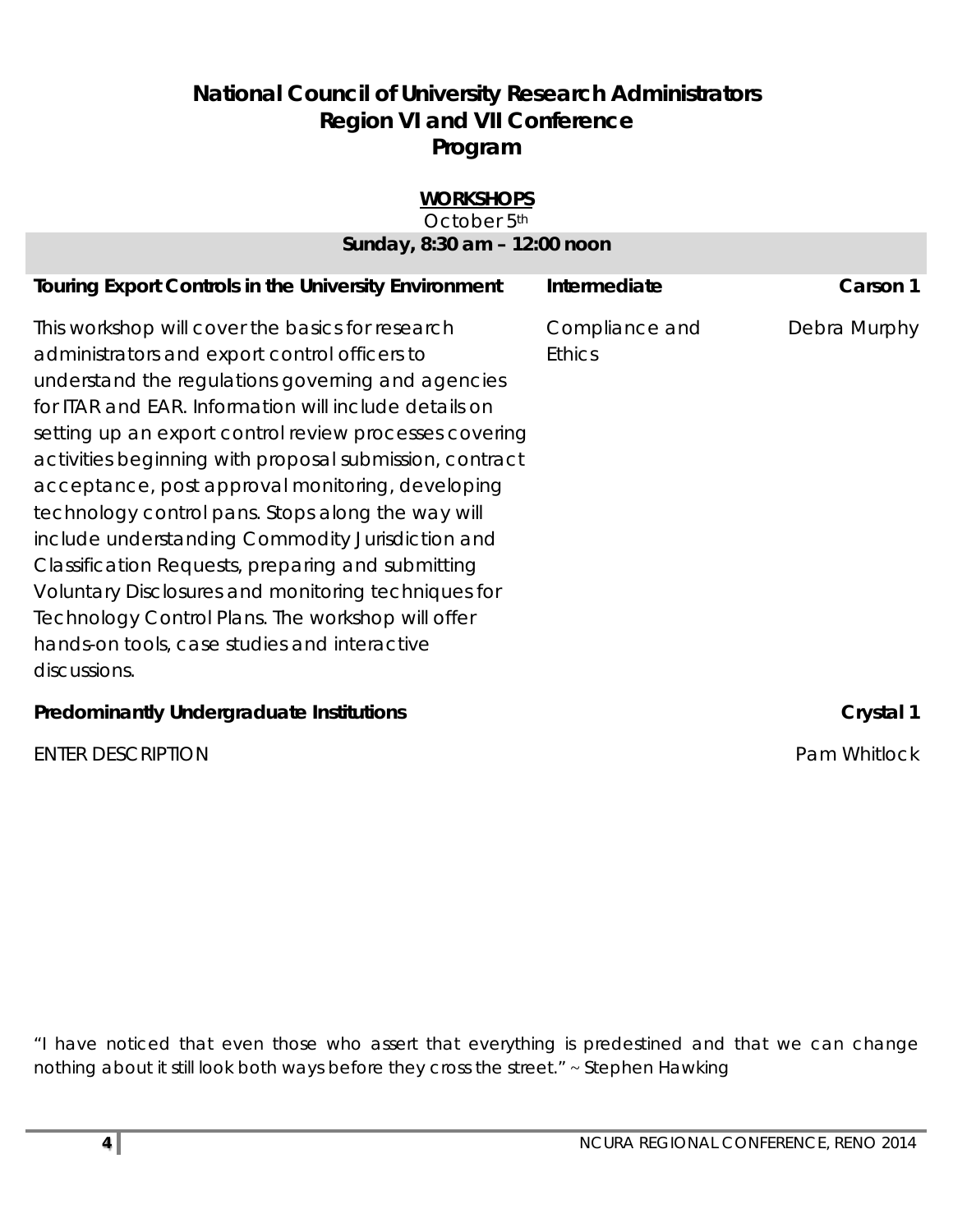## **National Council of University Research Administrators Region VI and VII Conference Program**

| <b>WORKSHOPS</b><br>October 5th                                                                                                                                                                                                                                                                                                                                                                                                                                                                                                                                                                                                                                                                                                    |                                 |              |
|------------------------------------------------------------------------------------------------------------------------------------------------------------------------------------------------------------------------------------------------------------------------------------------------------------------------------------------------------------------------------------------------------------------------------------------------------------------------------------------------------------------------------------------------------------------------------------------------------------------------------------------------------------------------------------------------------------------------------------|---------------------------------|--------------|
| Sunday, 8:30 am - 12:00 noon                                                                                                                                                                                                                                                                                                                                                                                                                                                                                                                                                                                                                                                                                                       |                                 |              |
| <b>Touring Export Controls in the University Environment</b>                                                                                                                                                                                                                                                                                                                                                                                                                                                                                                                                                                                                                                                                       | Intermediate                    | Carson 1     |
| This workshop will cover the basics for research<br>administrators and export control officers to<br>understand the regulations governing and agencies<br>for ITAR and EAR. Information will include details on<br>setting up an export control review processes covering<br>activities beginning with proposal submission, contract<br>acceptance, post approval monitoring, developing<br>technology control pans. Stops along the way will<br>include understanding Commodity Jurisdiction and<br>Classification Requests, preparing and submitting<br>Voluntary Disclosures and monitoring techniques for<br>Technology Control Plans. The workshop will offer<br>hands-on tools, case studies and interactive<br>discussions. | Compliance and<br><b>Ethics</b> | Debra Murphy |
| <b>Predominantly Undergraduate Institutions</b>                                                                                                                                                                                                                                                                                                                                                                                                                                                                                                                                                                                                                                                                                    |                                 | Crystal 1    |

ENTER DESCRIPTION **Pam Whitlock** 

"*I have noticed that even those who assert that everything is predestined and that we can change nothing about it still look both ways before they cross the street*." ~ Stephen Hawking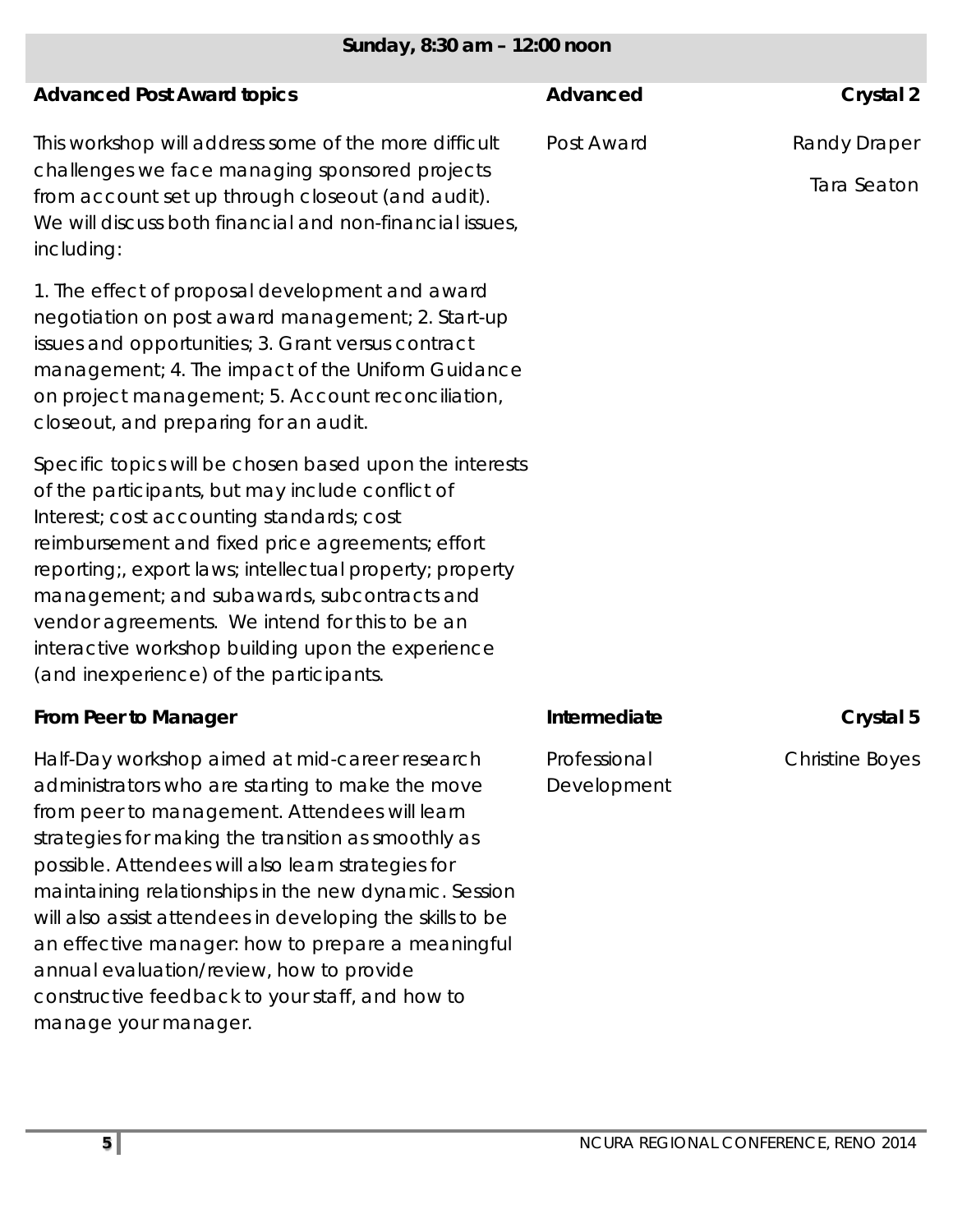| Sunday, 8:30 am - 12:00 noon                                                                                                                                                                                                                                                                                                                                                                                                                                              |                             |                             |
|---------------------------------------------------------------------------------------------------------------------------------------------------------------------------------------------------------------------------------------------------------------------------------------------------------------------------------------------------------------------------------------------------------------------------------------------------------------------------|-----------------------------|-----------------------------|
| <b>Advanced Post Award topics</b>                                                                                                                                                                                                                                                                                                                                                                                                                                         | Advanced                    | Crystal 2                   |
| This workshop will address some of the more difficult<br>challenges we face managing sponsored projects<br>from account set up through closeout (and audit).<br>We will discuss both financial and non-financial issues,<br>including:                                                                                                                                                                                                                                    | Post Award                  | Randy Draper<br>Tara Seaton |
| 1. The effect of proposal development and award<br>negotiation on post award management; 2. Start-up<br>issues and opportunities; 3. Grant versus contract<br>management; 4. The impact of the Uniform Guidance<br>on project management; 5. Account reconciliation,<br>closeout, and preparing for an audit.                                                                                                                                                             |                             |                             |
| Specific topics will be chosen based upon the interests<br>of the participants, but may include conflict of<br>Interest; cost accounting standards; cost<br>reimbursement and fixed price agreements; effort<br>reporting;, export laws; intellectual property; property<br>management; and subawards, subcontracts and<br>vendor agreements. We intend for this to be an<br>interactive workshop building upon the experience<br>(and inexperience) of the participants. |                             |                             |
| From Peer to Manager                                                                                                                                                                                                                                                                                                                                                                                                                                                      | Intermediate                | Crystal 5                   |
| Half-Day workshop aimed at mid-career research<br>administrators who are starting to make the move<br>from peer to management. Attendees will learn<br>strategies for making the transition as smoothly as<br>possible. Attendees will also learn strategies for<br>maintaining relationships in the new dynamic. Session                                                                                                                                                 | Professional<br>Development | <b>Christine Boyes</b>      |

manage your manager.

will also assist attendees in developing the skills to be an effective manager: how to prepare a meaningful

annual evaluation/review, how to provide

constructive feedback to your staff, and how to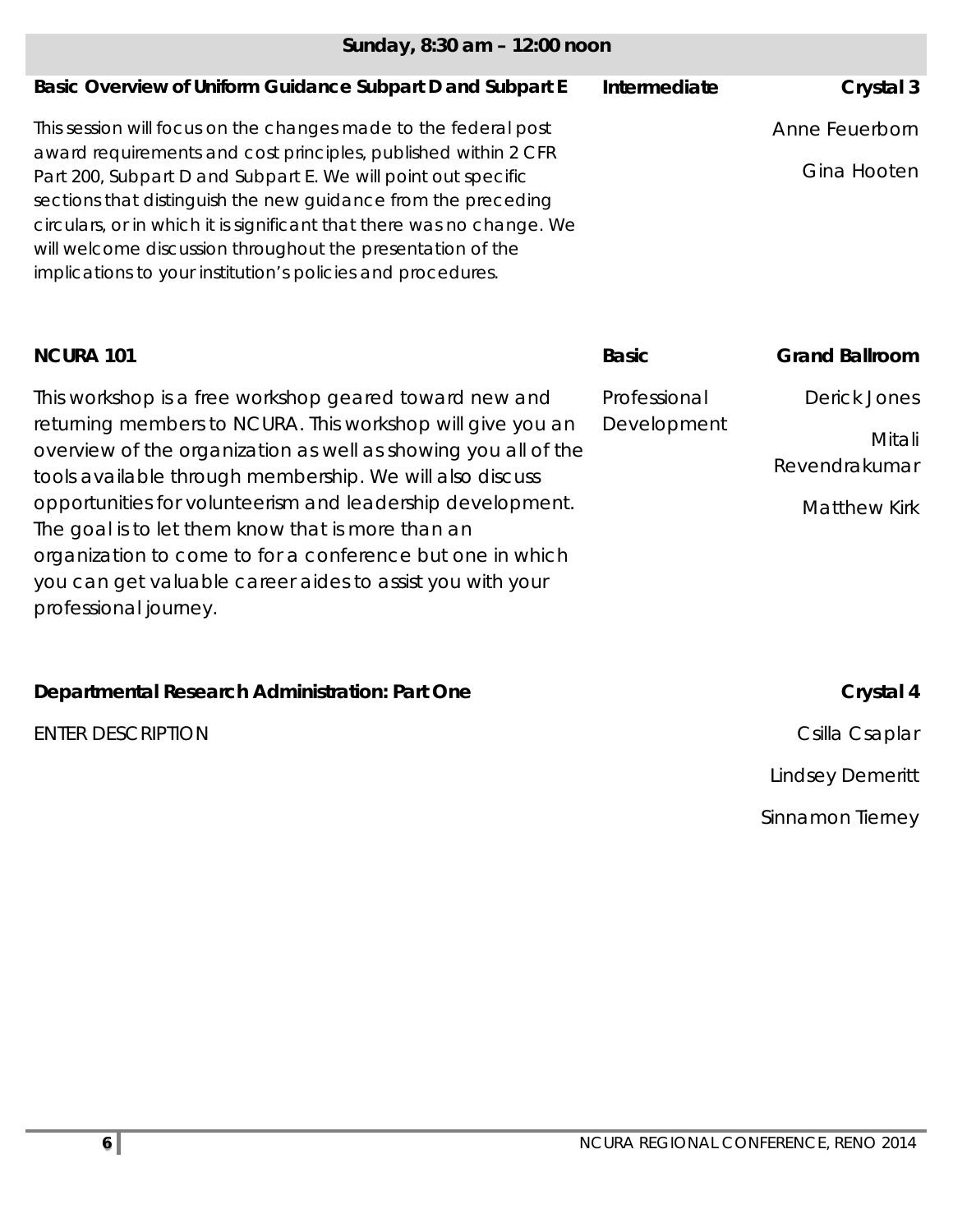| Sunday, 8:30 am - 12:00 noon                                                                                                                                                                                                                                                                                                                                                                           |              |                         |
|--------------------------------------------------------------------------------------------------------------------------------------------------------------------------------------------------------------------------------------------------------------------------------------------------------------------------------------------------------------------------------------------------------|--------------|-------------------------|
| Basic Overview of Uniform Guidance Subpart D and Subpart E                                                                                                                                                                                                                                                                                                                                             | Intermediate | Crystal 3               |
| This session will focus on the changes made to the federal post                                                                                                                                                                                                                                                                                                                                        |              | Anne Feuerborn          |
| award requirements and cost principles, published within 2 CFR<br>Part 200, Subpart D and Subpart E. We will point out specific<br>sections that distinguish the new guidance from the preceding<br>circulars, or in which it is significant that there was no change. We<br>will welcome discussion throughout the presentation of the<br>implications to your institution's policies and procedures. |              | Gina Hooten             |
| <b>NCURA 101</b>                                                                                                                                                                                                                                                                                                                                                                                       | <b>Basic</b> | <b>Grand Ballroom</b>   |
| This workshop is a free workshop geared toward new and                                                                                                                                                                                                                                                                                                                                                 | Professional | <b>Derick Jones</b>     |
| returning members to NCURA. This workshop will give you an<br>overview of the organization as well as showing you all of the                                                                                                                                                                                                                                                                           | Development  | Mitali<br>Revendrakumar |
| tools available through membership. We will also discuss<br>opportunities for volunteerism and leadership development.                                                                                                                                                                                                                                                                                 |              | <b>Matthew Kirk</b>     |
| The goal is to let them know that is more than an<br>organization to come to for a conference but one in which<br>you can get valuable career aides to assist you with your<br>professional journey.                                                                                                                                                                                                   |              |                         |
|                                                                                                                                                                                                                                                                                                                                                                                                        |              |                         |
| Departmental Research Administration: Part One                                                                                                                                                                                                                                                                                                                                                         |              | Crystal 4               |

Lindsey Demeritt

Sinnamon Tierney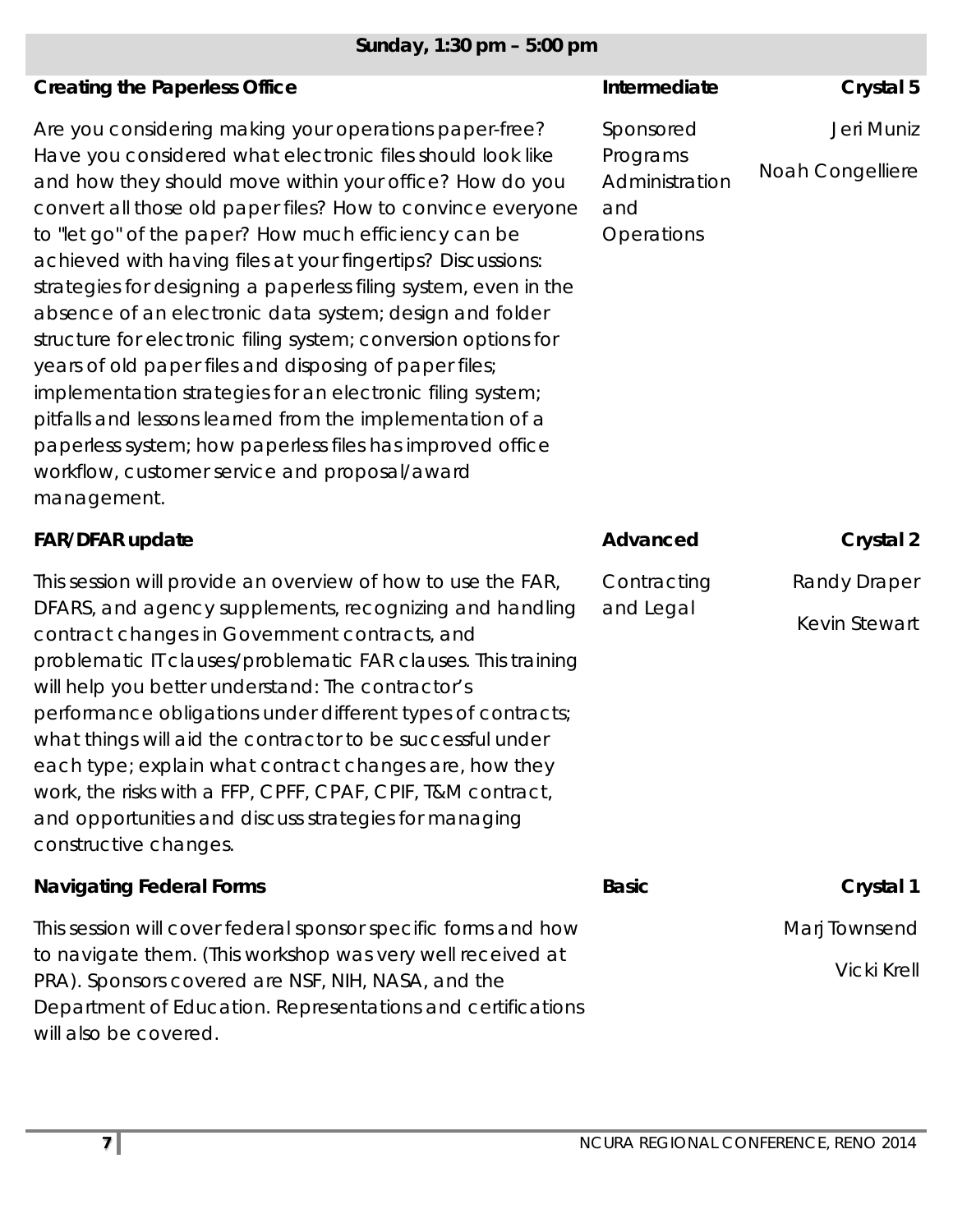## *Sunday, 1:30 pm – 5:00 pm*

| <b>Creating the Paperless Office</b>                                                                                                                                                                                                                                                                                                                                                                                                                                                                                                                                                                                                                                                                                                                                                                                                                                                    | Intermediate                                                 | Crystal 5                           |
|-----------------------------------------------------------------------------------------------------------------------------------------------------------------------------------------------------------------------------------------------------------------------------------------------------------------------------------------------------------------------------------------------------------------------------------------------------------------------------------------------------------------------------------------------------------------------------------------------------------------------------------------------------------------------------------------------------------------------------------------------------------------------------------------------------------------------------------------------------------------------------------------|--------------------------------------------------------------|-------------------------------------|
| Are you considering making your operations paper-free?<br>Have you considered what electronic files should look like<br>and how they should move within your office? How do you<br>convert all those old paper files? How to convince everyone<br>to "let go" of the paper? How much efficiency can be<br>achieved with having files at your fingertips? Discussions:<br>strategies for designing a paperless filing system, even in the<br>absence of an electronic data system; design and folder<br>structure for electronic filing system; conversion options for<br>years of old paper files and disposing of paper files;<br>implementation strategies for an electronic filing system;<br>pitfalls and lessons learned from the implementation of a<br>paperless system; how paperless files has improved office<br>workflow, customer service and proposal/award<br>management. | Sponsored<br>Programs<br>Administration<br>and<br>Operations | Jeri Muniz<br>Noah Congelliere      |
| <b>FAR/DFAR update</b>                                                                                                                                                                                                                                                                                                                                                                                                                                                                                                                                                                                                                                                                                                                                                                                                                                                                  | Advanced                                                     | Crystal 2                           |
| This session will provide an overview of how to use the FAR,<br>DFARS, and agency supplements, recognizing and handling<br>contract changes in Government contracts, and<br>problematic IT clauses/problematic FAR clauses. This training<br>will help you better understand: The contractor's<br>performance obligations under different types of contracts;<br>what things will aid the contractor to be successful under<br>each type; explain what contract changes are, how they<br>work, the risks with a FFP, CPFF, CPAF, CPIF, T&M contract,<br>and opportunities and discuss strategies for managing<br>constructive changes.                                                                                                                                                                                                                                                  | Contracting<br>and Legal                                     | Randy Draper<br>Kevin Stewart       |
| <b>Navigating Federal Forms</b>                                                                                                                                                                                                                                                                                                                                                                                                                                                                                                                                                                                                                                                                                                                                                                                                                                                         | <b>Basic</b>                                                 | Crystal 1                           |
| This session will cover federal sponsor specific forms and how<br>to navigate them. (This workshop was very well received at<br>PRA). Sponsors covered are NSF, NIH, NASA, and the<br>Department of Education. Representations and certifications<br>will also be covered.                                                                                                                                                                                                                                                                                                                                                                                                                                                                                                                                                                                                              |                                                              | Marj Townsend<br><b>Vicki Krell</b> |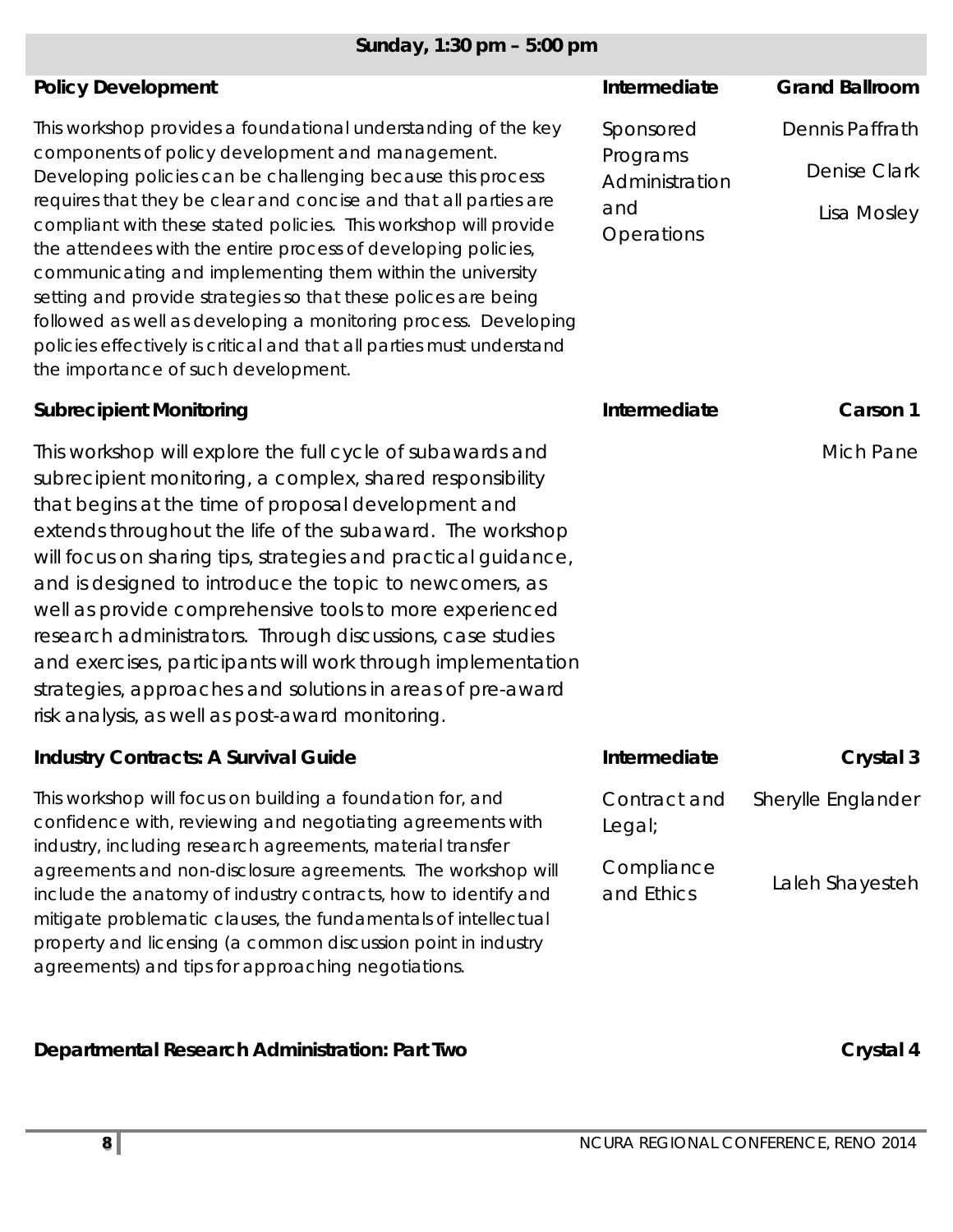## *Sunday, 1:30 pm – 5:00 pm*

| <b>Policy Development</b>                                                                                                                                                                                                                                                                                                                                                                                                                                                                                                                                                                                                                                                                                    | Intermediate                                                 | <b>Grand Ballroom</b>                                 |
|--------------------------------------------------------------------------------------------------------------------------------------------------------------------------------------------------------------------------------------------------------------------------------------------------------------------------------------------------------------------------------------------------------------------------------------------------------------------------------------------------------------------------------------------------------------------------------------------------------------------------------------------------------------------------------------------------------------|--------------------------------------------------------------|-------------------------------------------------------|
| This workshop provides a foundational understanding of the key<br>components of policy development and management.<br>Developing policies can be challenging because this process<br>requires that they be clear and concise and that all parties are<br>compliant with these stated policies. This workshop will provide<br>the attendees with the entire process of developing policies,<br>communicating and implementing them within the university<br>setting and provide strategies so that these polices are being<br>followed as well as developing a monitoring process. Developing<br>policies effectively is critical and that all parties must understand<br>the importance of such development. | Sponsored<br>Programs<br>Administration<br>and<br>Operations | Dennis Paffrath<br><b>Denise Clark</b><br>Lisa Mosley |
| <b>Subrecipient Monitoring</b>                                                                                                                                                                                                                                                                                                                                                                                                                                                                                                                                                                                                                                                                               | Intermediate                                                 | Carson 1                                              |
| This workshop will explore the full cycle of subawards and<br>subrecipient monitoring, a complex, shared responsibility<br>that begins at the time of proposal development and<br>extends throughout the life of the subaward. The workshop<br>will focus on sharing tips, strategies and practical guidance,<br>and is designed to introduce the topic to newcomers, as<br>well as provide comprehensive tools to more experienced<br>research administrators. Through discussions, case studies<br>and exercises, participants will work through implementation<br>strategies, approaches and solutions in areas of pre-award<br>risk analysis, as well as post-award monitoring.                          |                                                              | Mich Pane                                             |
| <b>Industry Contracts: A Survival Guide</b>                                                                                                                                                                                                                                                                                                                                                                                                                                                                                                                                                                                                                                                                  | Intermediate                                                 | Crystal 3                                             |
| This workshop will focus on building a foundation for, and<br>confidence with, reviewing and negotiating agreements with<br>industry, including research agreements, material transfer<br>agreements and non-disclosure agreements. The workshop will<br>include the anatomy of industry contracts, how to identify and                                                                                                                                                                                                                                                                                                                                                                                      | Contract and<br>Legal;<br>Compliance<br>and Ethics           | Sherylle Englander<br>Laleh Shayesteh                 |
| mitigate problematic clauses, the fundamentals of intellectual<br>property and licensing (a common discussion point in industry<br>agreements) and tips for approaching negotiations.                                                                                                                                                                                                                                                                                                                                                                                                                                                                                                                        |                                                              |                                                       |

**Departmental Research Administration: Part Two <b>Crystal 4** Crystal 4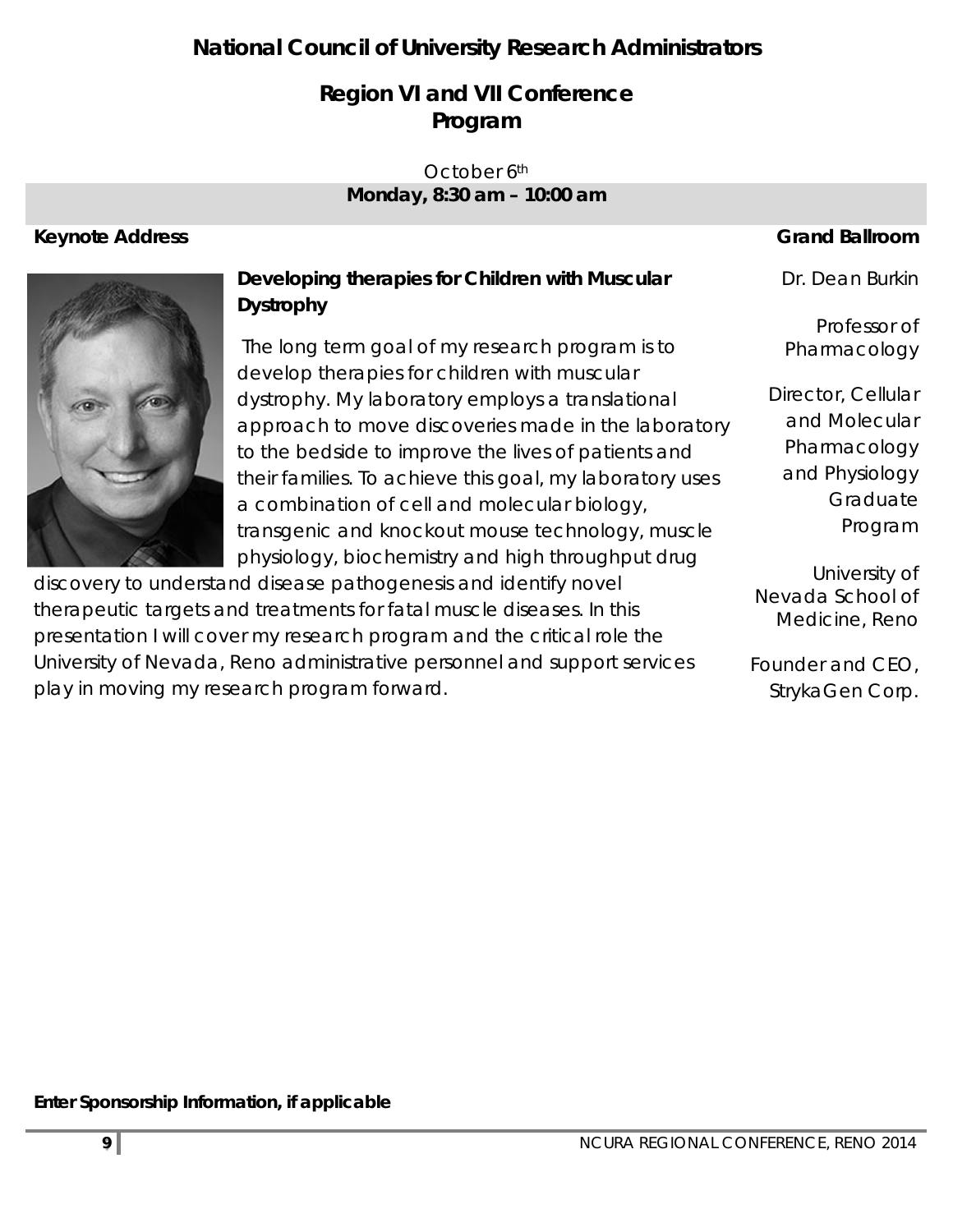## **National Council of University Research Administrators**

## **Region VI and VII Conference Program**

#### October 6<sup>th</sup> *Monday, 8:30 am – 10:00 am*

### **Keynote Address** Grand Ballroom **Grand Ballroom**

Dr. Dean Burkin

Professor of Pharmacology

## **Developing therapies for Children with Muscular Dystrophy**

 The long term goal of my research program is to develop therapies for children with muscular dystrophy. My laboratory employs a translational approach to move discoveries made in the laboratory to the bedside to improve the lives of patients and their families. To achieve this goal, my laboratory uses a combination of cell and molecular biology, transgenic and knockout mouse technology, muscle physiology, biochemistry and high throughput drug

discovery to understand disease pathogenesis and identify novel therapeutic targets and treatments for fatal muscle diseases. In this presentation I will cover my research program and the critical role the University of Nevada, Reno administrative personnel and support services play in moving my research program forward.

| Director, Cellular |
|--------------------|
| and Molecular      |
| Pharmacology       |
| and Physiology     |
| Graduate           |
| Program            |

University of Nevada School of Medicine, Reno

Founder and CEO, StrykaGen Corp.

**Enter Sponsorship Information, if applicable**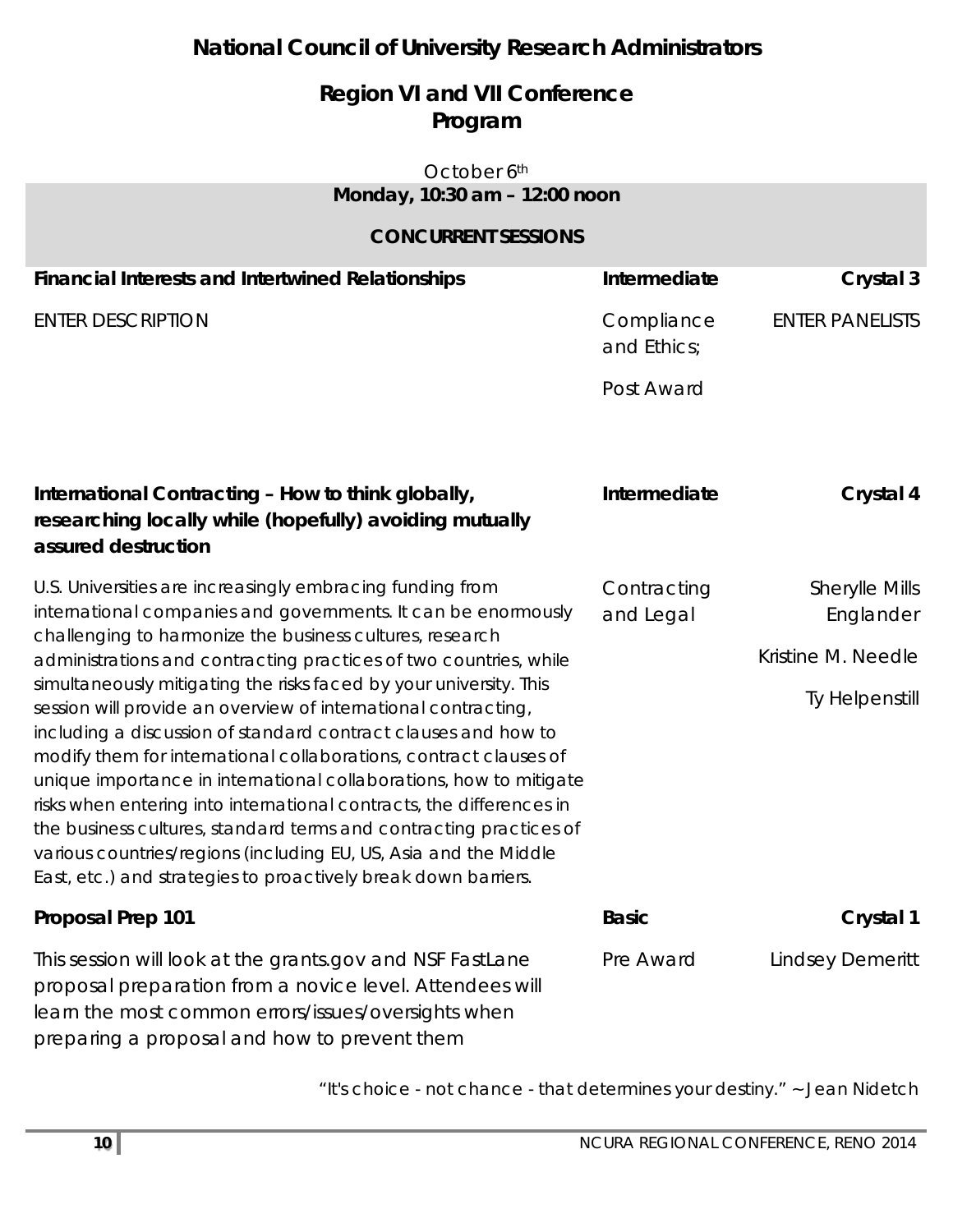## **National Council of University Research Administrators**

## **Region VI and VII Conference Program**

#### October 6<sup>th</sup> *Monday, 10:30 am – 12:00 noon*

#### **CONCURRENT SESSIONS**

| <b>Financial Interests and Intertwined Relationships</b>                                                                                                                                                                                                                                                                                                                                                                                                                                                                                                                                                                                                                                 | Intermediate              | Crystal 3                                                           |
|------------------------------------------------------------------------------------------------------------------------------------------------------------------------------------------------------------------------------------------------------------------------------------------------------------------------------------------------------------------------------------------------------------------------------------------------------------------------------------------------------------------------------------------------------------------------------------------------------------------------------------------------------------------------------------------|---------------------------|---------------------------------------------------------------------|
| <b>ENTER DESCRIPTION</b>                                                                                                                                                                                                                                                                                                                                                                                                                                                                                                                                                                                                                                                                 | Compliance<br>and Ethics; | <b>ENTER PANELISTS</b>                                              |
|                                                                                                                                                                                                                                                                                                                                                                                                                                                                                                                                                                                                                                                                                          | Post Award                |                                                                     |
| International Contracting - How to think globally,<br>researching locally while (hopefully) avoiding mutually<br>assured destruction                                                                                                                                                                                                                                                                                                                                                                                                                                                                                                                                                     | Intermediate              | Crystal 4                                                           |
| U.S. Universities are increasingly embracing funding from<br>international companies and governments. It can be enormously<br>challenging to harmonize the business cultures, research<br>administrations and contracting practices of two countries, while<br>simultaneously mitigating the risks faced by your university. This<br>session will provide an overview of international contracting,<br>including a discussion of standard contract clauses and how to<br>modify them for international collaborations, contract clauses of<br>unique importance in international collaborations, how to mitigate<br>risks when entering into international contracts, the differences in | Contracting<br>and Legal  | Sherylle Mills<br>Englander<br>Kristine M. Needle<br>Ty Helpenstill |
| the business cultures, standard terms and contracting practices of<br>various countries/regions (including EU, US, Asia and the Middle<br>East, etc.) and strategies to proactively break down barriers.                                                                                                                                                                                                                                                                                                                                                                                                                                                                                 |                           |                                                                     |
| Proposal Prep 101                                                                                                                                                                                                                                                                                                                                                                                                                                                                                                                                                                                                                                                                        | <b>Basic</b>              | Crystal 1                                                           |
| This session will look at the grants.gov and NSF FastLane<br>proposal preparation from a novice level. Attendees will<br>learn the most common errors/issues/oversights when<br>preparing a proposal and how to prevent them                                                                                                                                                                                                                                                                                                                                                                                                                                                             | Pre Award                 | <b>Lindsey Demeritt</b>                                             |

"*It's choice - not chance - that determines your destiny*." ~ Jean Nidetch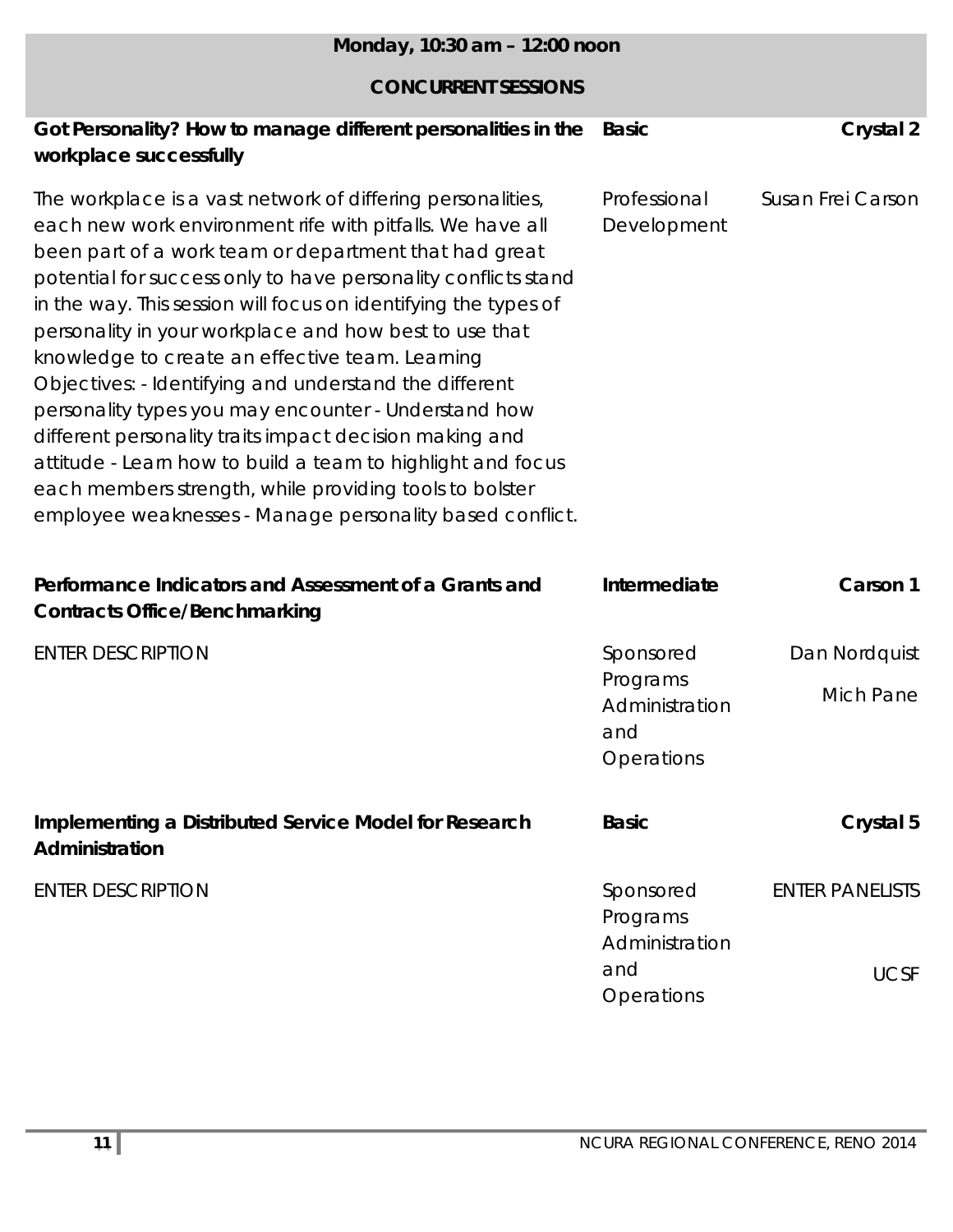| Monday, 10:30 am - 12:00 noon                                                                                                                                                                                                                                                                                                                                                                                                                                                                                                                                                                                                                                                                                                                                                                          |                                                 |                        |
|--------------------------------------------------------------------------------------------------------------------------------------------------------------------------------------------------------------------------------------------------------------------------------------------------------------------------------------------------------------------------------------------------------------------------------------------------------------------------------------------------------------------------------------------------------------------------------------------------------------------------------------------------------------------------------------------------------------------------------------------------------------------------------------------------------|-------------------------------------------------|------------------------|
| <b>CONCURRENT SESSIONS</b>                                                                                                                                                                                                                                                                                                                                                                                                                                                                                                                                                                                                                                                                                                                                                                             |                                                 |                        |
| Got Personality? How to manage different personalities in the<br>workplace successfully                                                                                                                                                                                                                                                                                                                                                                                                                                                                                                                                                                                                                                                                                                                | <b>Basic</b>                                    | Crystal 2              |
| The workplace is a vast network of differing personalities,<br>each new work environment rife with pitfalls. We have all<br>been part of a work team or department that had great<br>potential for success only to have personality conflicts stand<br>in the way. This session will focus on identifying the types of<br>personality in your workplace and how best to use that<br>knowledge to create an effective team. Learning<br>Objectives: - Identifying and understand the different<br>personality types you may encounter - Understand how<br>different personality traits impact decision making and<br>attitude - Learn how to build a team to highlight and focus<br>each members strength, while providing tools to bolster<br>employee weaknesses - Manage personality based conflict. | Professional<br>Development                     | Susan Frei Carson      |
| Performance Indicators and Assessment of a Grants and<br><b>Contracts Office/Benchmarking</b>                                                                                                                                                                                                                                                                                                                                                                                                                                                                                                                                                                                                                                                                                                          | Intermediate                                    | Carson 1               |
| <b>ENTER DESCRIPTION</b>                                                                                                                                                                                                                                                                                                                                                                                                                                                                                                                                                                                                                                                                                                                                                                               | Sponsored                                       | Dan Nordquist          |
|                                                                                                                                                                                                                                                                                                                                                                                                                                                                                                                                                                                                                                                                                                                                                                                                        | Programs<br>Administration<br>and<br>Operations | <b>Mich Pane</b>       |
| Implementing a Distributed Service Model for Research<br>Administration                                                                                                                                                                                                                                                                                                                                                                                                                                                                                                                                                                                                                                                                                                                                | <b>Basic</b>                                    | Crystal 5              |
| <b>ENTER DESCRIPTION</b>                                                                                                                                                                                                                                                                                                                                                                                                                                                                                                                                                                                                                                                                                                                                                                               | Sponsored<br>Programs<br>Administration         | <b>ENTER PANELISTS</b> |
|                                                                                                                                                                                                                                                                                                                                                                                                                                                                                                                                                                                                                                                                                                                                                                                                        | and<br>Operations                               | <b>UCSF</b>            |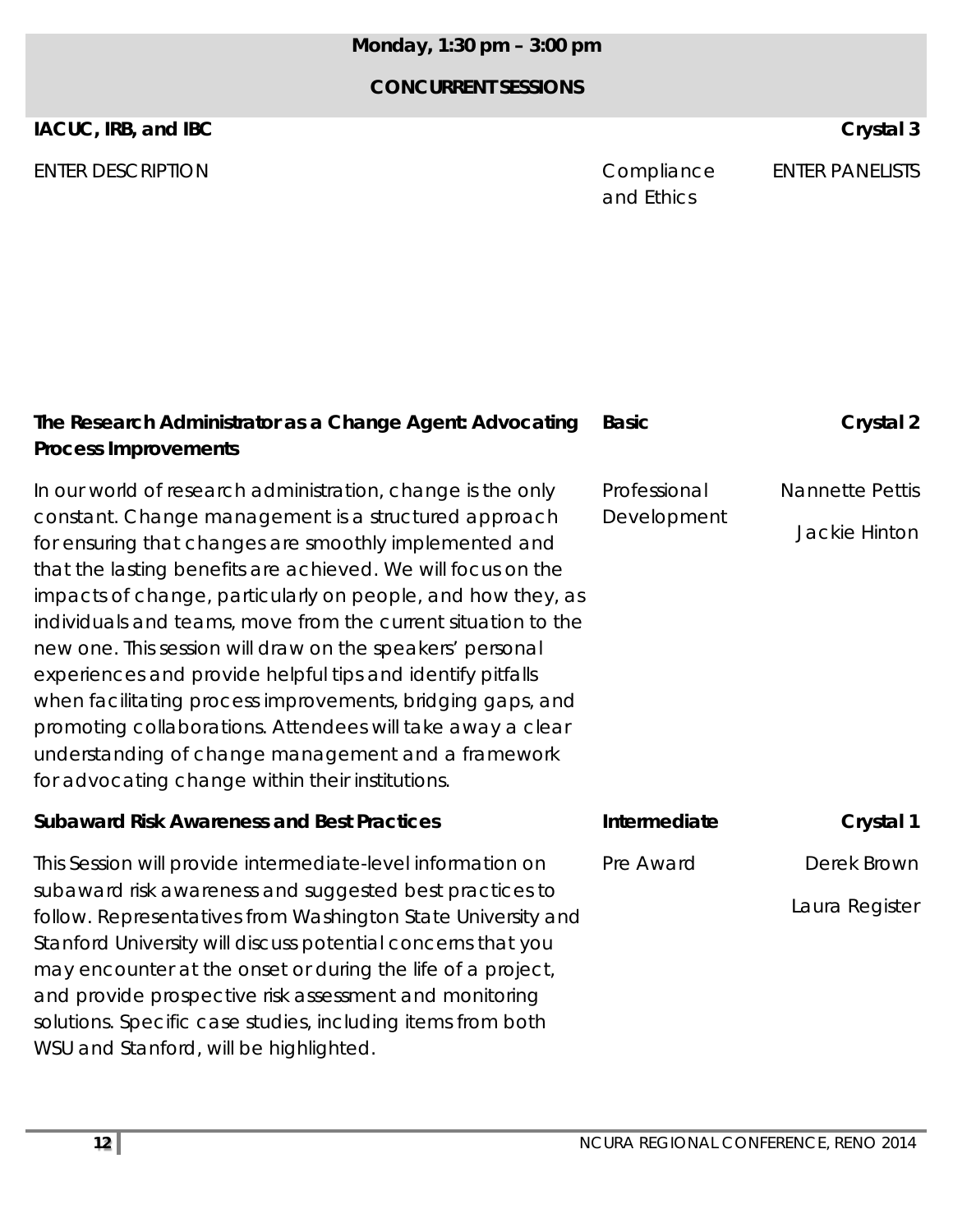## *Monday, 1:30 pm – 3:00 pm*

### **CONCURRENT SESSIONS**

#### **IACUC, IRB, and IBC** Crystal 3

ENTER DESCRIPTION **ENTER DESCRIPTION** 

and Ethics ENTER PANELISTS

| The Research Administrator as a Change Agent: Advocating<br><b>Process Improvements</b>                                                                                                                                                                                                                                                                                                                                                                                                                                                                                                                                                                                                                                                        | <b>Basic</b>                | Crystal 2                               |
|------------------------------------------------------------------------------------------------------------------------------------------------------------------------------------------------------------------------------------------------------------------------------------------------------------------------------------------------------------------------------------------------------------------------------------------------------------------------------------------------------------------------------------------------------------------------------------------------------------------------------------------------------------------------------------------------------------------------------------------------|-----------------------------|-----------------------------------------|
| In our world of research administration, change is the only<br>constant. Change management is a structured approach<br>for ensuring that changes are smoothly implemented and<br>that the lasting benefits are achieved. We will focus on the<br>impacts of change, particularly on people, and how they, as<br>individuals and teams, move from the current situation to the<br>new one. This session will draw on the speakers' personal<br>experiences and provide helpful tips and identify pitfalls<br>when facilitating process improvements, bridging gaps, and<br>promoting collaborations. Attendees will take away a clear<br>understanding of change management and a framework<br>for advocating change within their institutions. | Professional<br>Development | <b>Nannette Pettis</b><br>Jackie Hinton |
| <b>Subaward Risk Awareness and Best Practices</b>                                                                                                                                                                                                                                                                                                                                                                                                                                                                                                                                                                                                                                                                                              | Intermediate                | Crystal 1                               |
| This Session will provide intermediate-level information on<br>subaward risk awareness and suggested best practices to<br>follow. Representatives from Washington State University and<br>Stanford University will discuss potential concerns that you<br>may encounter at the onset or during the life of a project,<br>and provide prospective risk assessment and monitoring<br>solutions. Specific case studies, including items from both                                                                                                                                                                                                                                                                                                 | Pre Award                   | Derek Brown<br>Laura Register           |
| WSU and Stanford, will be highlighted.                                                                                                                                                                                                                                                                                                                                                                                                                                                                                                                                                                                                                                                                                                         |                             |                                         |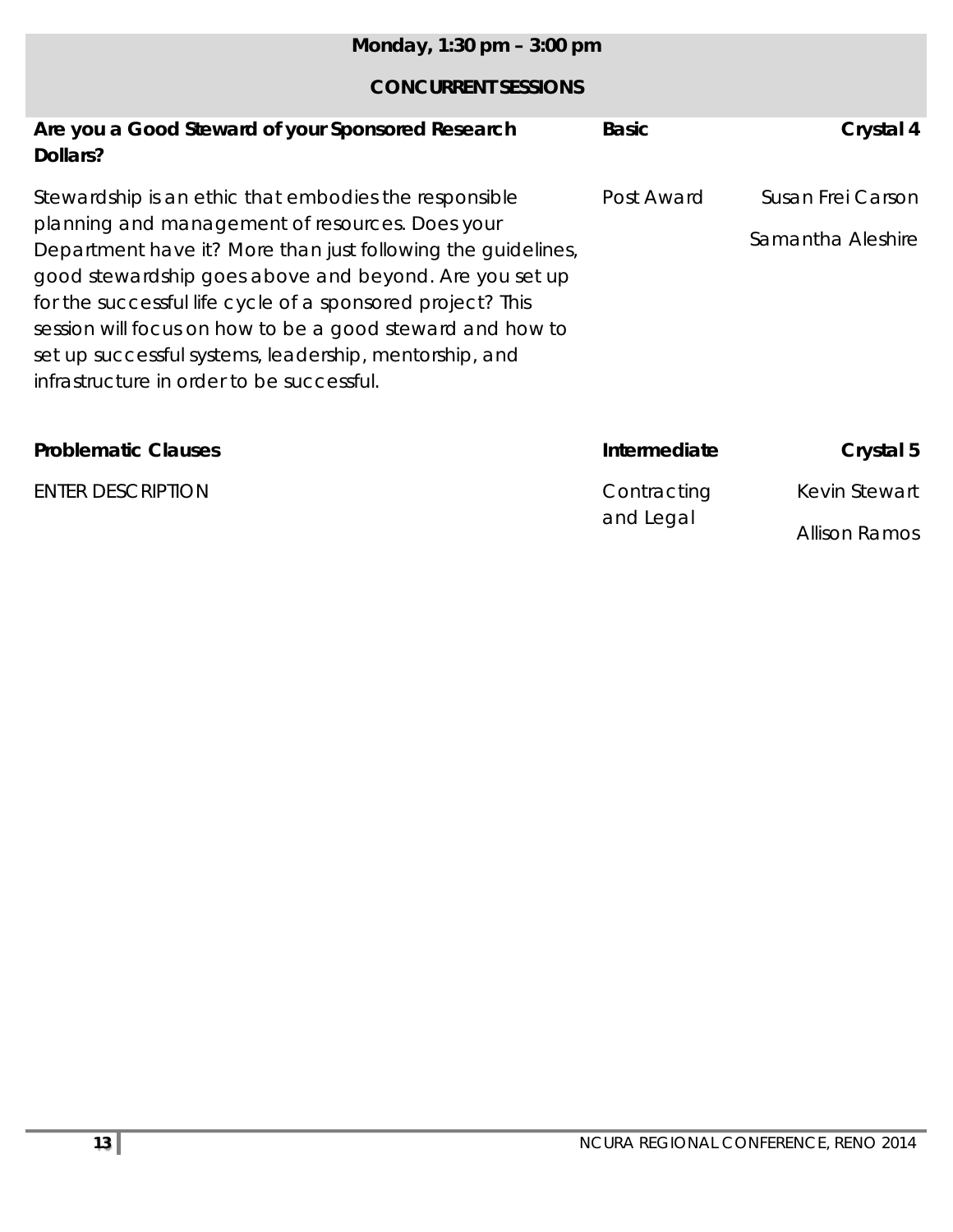| Monday, 1:30 pm $-$ 3:00 pm                                                                                                                                                                                                                                                                                                                                                                                 |              |                      |
|-------------------------------------------------------------------------------------------------------------------------------------------------------------------------------------------------------------------------------------------------------------------------------------------------------------------------------------------------------------------------------------------------------------|--------------|----------------------|
| <b>CONCURRENT SESSIONS</b>                                                                                                                                                                                                                                                                                                                                                                                  |              |                      |
| Are you a Good Steward of your Sponsored Research<br>Dollars?                                                                                                                                                                                                                                                                                                                                               | <b>Basic</b> | Crystal 4            |
| Stewardship is an ethic that embodies the responsible                                                                                                                                                                                                                                                                                                                                                       | Post Award   | Susan Frei Carson    |
| planning and management of resources. Does your<br>Department have it? More than just following the guidelines,<br>good stewardship goes above and beyond. Are you set up<br>for the successful life cycle of a sponsored project? This<br>session will focus on how to be a good steward and how to<br>set up successful systems, leadership, mentorship, and<br>infrastructure in order to be successful. |              | Samantha Aleshire    |
| <b>Problematic Clauses</b>                                                                                                                                                                                                                                                                                                                                                                                  | Intermediate | Crystal 5            |
| <b>ENTER DESCRIPTION</b>                                                                                                                                                                                                                                                                                                                                                                                    | Contracting  | Kevin Stewart        |
|                                                                                                                                                                                                                                                                                                                                                                                                             | and Legal    | <b>Allison Ramos</b> |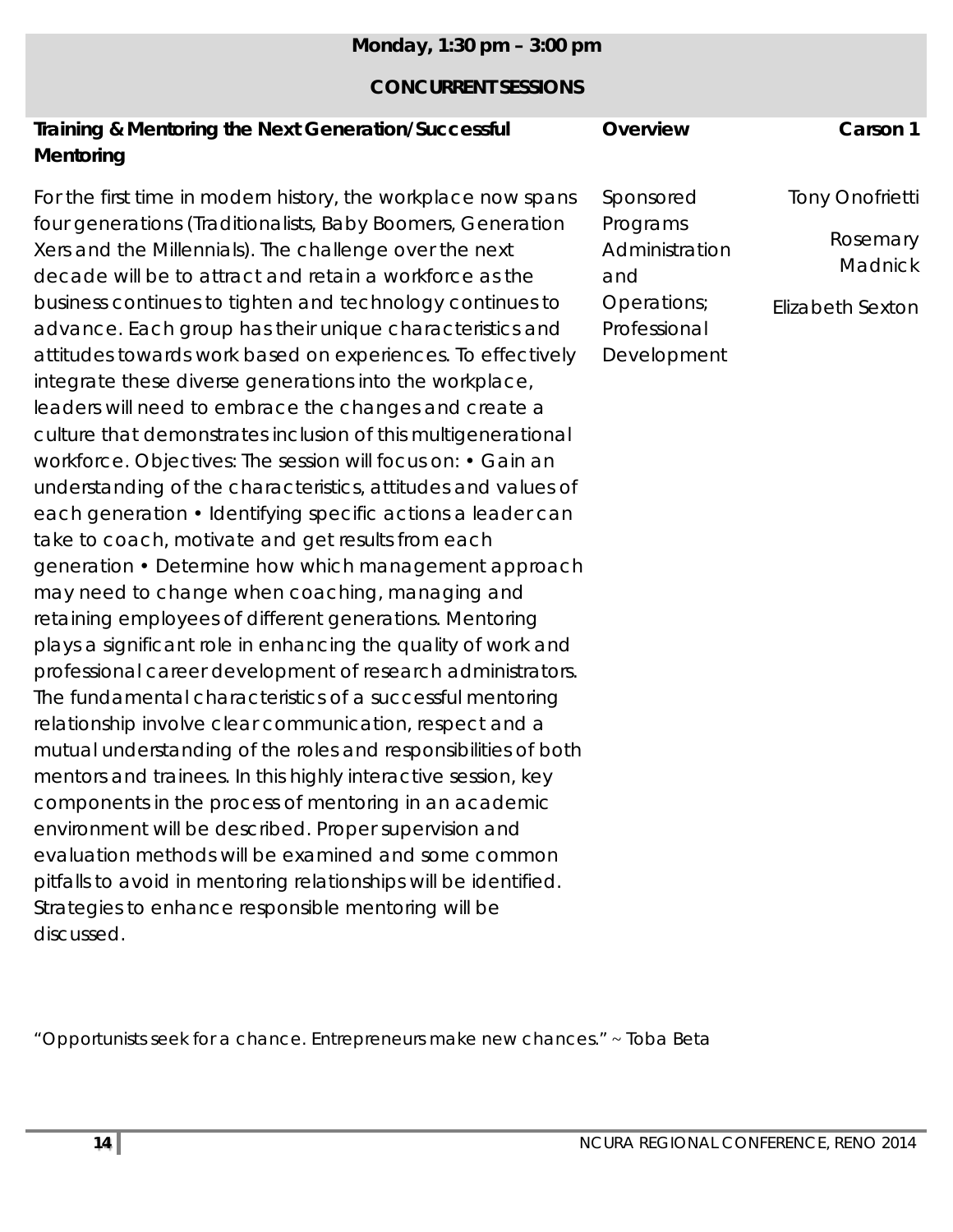|  |  | Monday, 1:30 pm - 3:00 pm |
|--|--|---------------------------|
|--|--|---------------------------|

#### **CONCURRENT SESSIONS**

| Training & Mentoring the Next Generation/Successful | Overview | Carson 1 |
|-----------------------------------------------------|----------|----------|
| Mentoring                                           |          |          |
|                                                     |          |          |

For the first time in modern history, the workplace now spans four generations (Traditionalists, Baby Boomers, Generation Xers and the Millennials). The challenge over the next decade will be to attract and retain a workforce as the business continues to tighten and technology continues to advance. Each group has their unique characteristics and attitudes towards work based on experiences. To effectively integrate these diverse generations into the workplace, leaders will need to embrace the changes and create a culture that demonstrates inclusion of this multigenerational workforce. Objectives: The session will focus on: • Gain an understanding of the characteristics, attitudes and values of each generation • Identifying specific actions a leader can take to coach, motivate and get results from each generation • Determine how which management approach may need to change when coaching, managing and retaining employees of different generations. Mentoring plays a significant role in enhancing the quality of work and professional career development of research administrators. The fundamental characteristics of a successful mentoring relationship involve clear communication, respect and a mutual understanding of the roles and responsibilities of both mentors and trainees. In this highly interactive session, key components in the process of mentoring in an academic environment will be described. Proper supervision and evaluation methods will be examined and some common pitfalls to avoid in mentoring relationships will be identified. Strategies to enhance responsible mentoring will be discussed.

Sponsored Programs **Administration** and Operations; Professional Development Tony Onofrietti Rosemary **Madnick** Elizabeth Sexton

"*Opportunists seek for a chance. Entrepreneurs make new chances*." ~ Toba Beta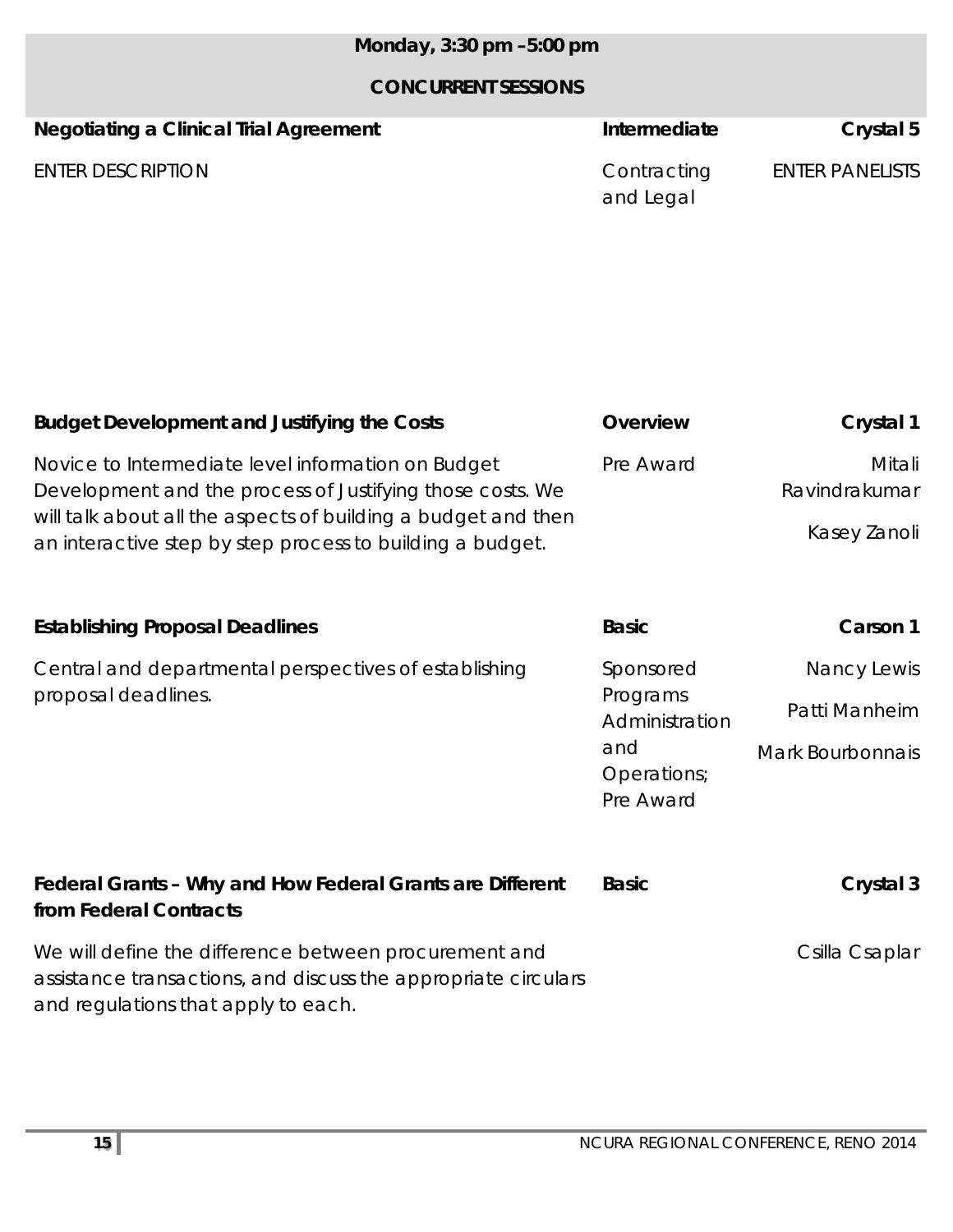## *Monday, 3:30 pm –5:00 pm*

| <b>Negotiating a Clinical Trial Agreement</b> | Intermediate             | Crystal 5              |
|-----------------------------------------------|--------------------------|------------------------|
| <b>ENTER DESCRIPTION</b>                      | Contracting<br>and Legal | <b>ENTER PANELISTS</b> |

| <b>Budget Development and Justifying the Costs</b>                                                                         | Overview                        | Crystal 1               |
|----------------------------------------------------------------------------------------------------------------------------|---------------------------------|-------------------------|
| Novice to Intermediate level information on Budget<br>Development and the process of Justifying those costs. We            | Pre Award                       | Mitali<br>Ravindrakumar |
| will talk about all the aspects of building a budget and then<br>an interactive step by step process to building a budget. |                                 | Kasey Zanoli            |
|                                                                                                                            |                                 |                         |
| <b>Establishing Proposal Deadlines</b>                                                                                     | <b>Basic</b>                    | Carson 1                |
| Central and departmental perspectives of establishing                                                                      | Sponsored                       | Nancy Lewis             |
| proposal deadlines.                                                                                                        | Programs<br>Administration      | Patti Manheim           |
|                                                                                                                            | and<br>Operations;<br>Pre Award | Mark Bourbonnais        |

| Federal Grants - Why and How Federal Grants are Different<br>from Federal Contracts | <b>Basic</b> | Crystal 3      |
|-------------------------------------------------------------------------------------|--------------|----------------|
| We will define the difference between procurement and                               |              | Csilla Csaplar |
| assistance transactions, and discuss the appropriate circulars                      |              |                |
| and regulations that apply to each.                                                 |              |                |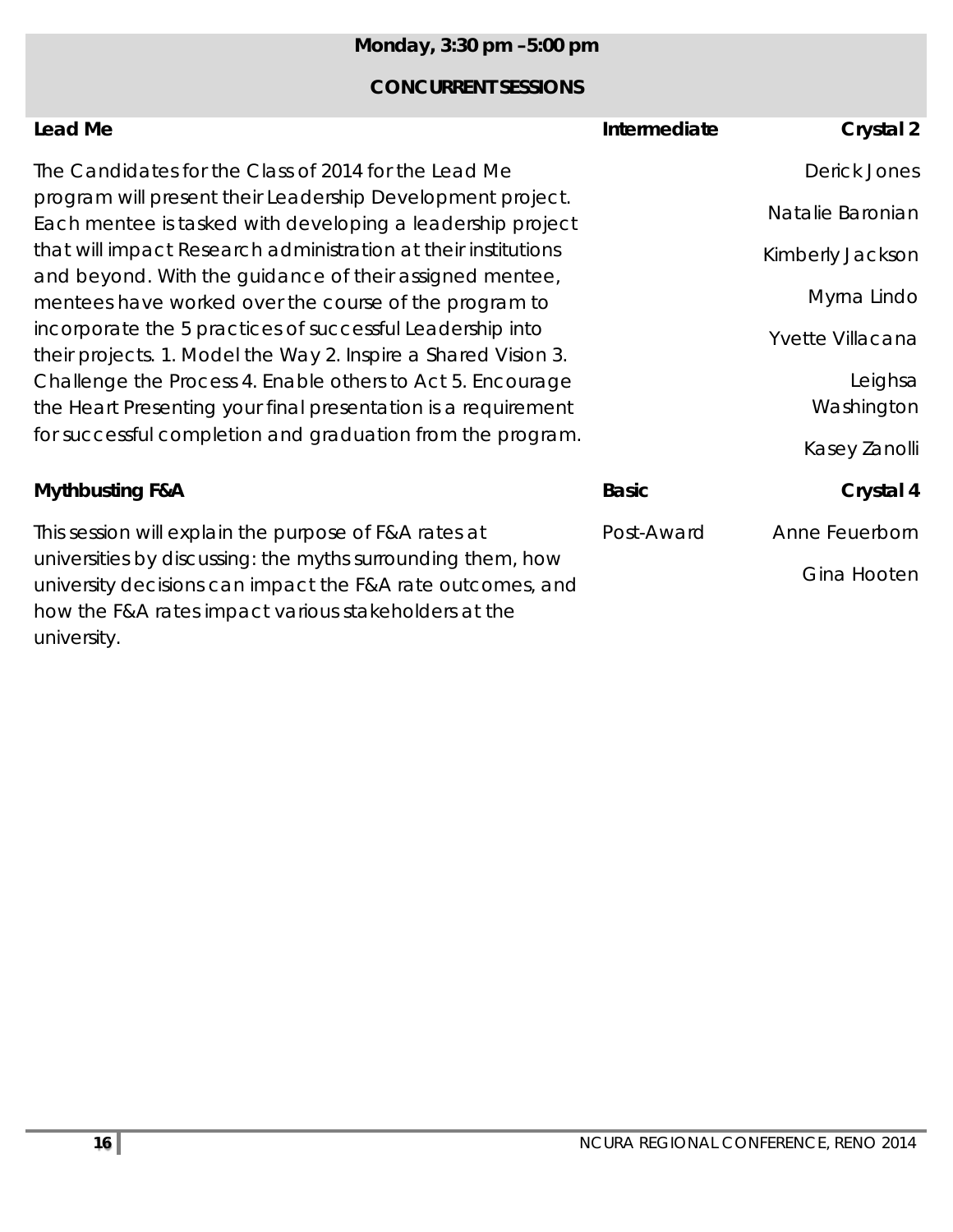## *Monday, 3:30 pm –5:00 pm*

## **CONCURRENT SESSIONS**

| Lead Me                                                                                                                                                                                    | Intermediate | Crystal 2             |
|--------------------------------------------------------------------------------------------------------------------------------------------------------------------------------------------|--------------|-----------------------|
| The Candidates for the Class of 2014 for the Lead Me                                                                                                                                       |              | Derick Jones          |
| program will present their Leadership Development project.<br>Each mentee is tasked with developing a leadership project<br>that will impact Research administration at their institutions |              | Natalie Baronian      |
| and beyond. With the guidance of their assigned mentee,                                                                                                                                    |              | Kimberly Jackson      |
| mentees have worked over the course of the program to                                                                                                                                      |              | Myrna Lindo           |
| incorporate the 5 practices of successful Leadership into<br>their projects. 1. Model the Way 2. Inspire a Shared Vision 3.                                                                |              | Yvette Villacana      |
| Challenge the Process 4. Enable others to Act 5. Encourage<br>the Heart Presenting your final presentation is a requirement                                                                |              | Leighsa<br>Washington |
| for successful completion and graduation from the program.                                                                                                                                 |              | Kasey Zanolli         |
| <b>Mythbusting F&amp;A</b>                                                                                                                                                                 | <b>Basic</b> | Crystal 4             |
| This session will explain the purpose of F&A rates at                                                                                                                                      | Post-Award   | Anne Feuerborn        |
| universities by discussing: the myths surrounding them, how<br>university decisions can impact the F&A rate outcomes, and<br>how the F&A rates impact various stakeholders at the          |              | Gina Hooten           |

university.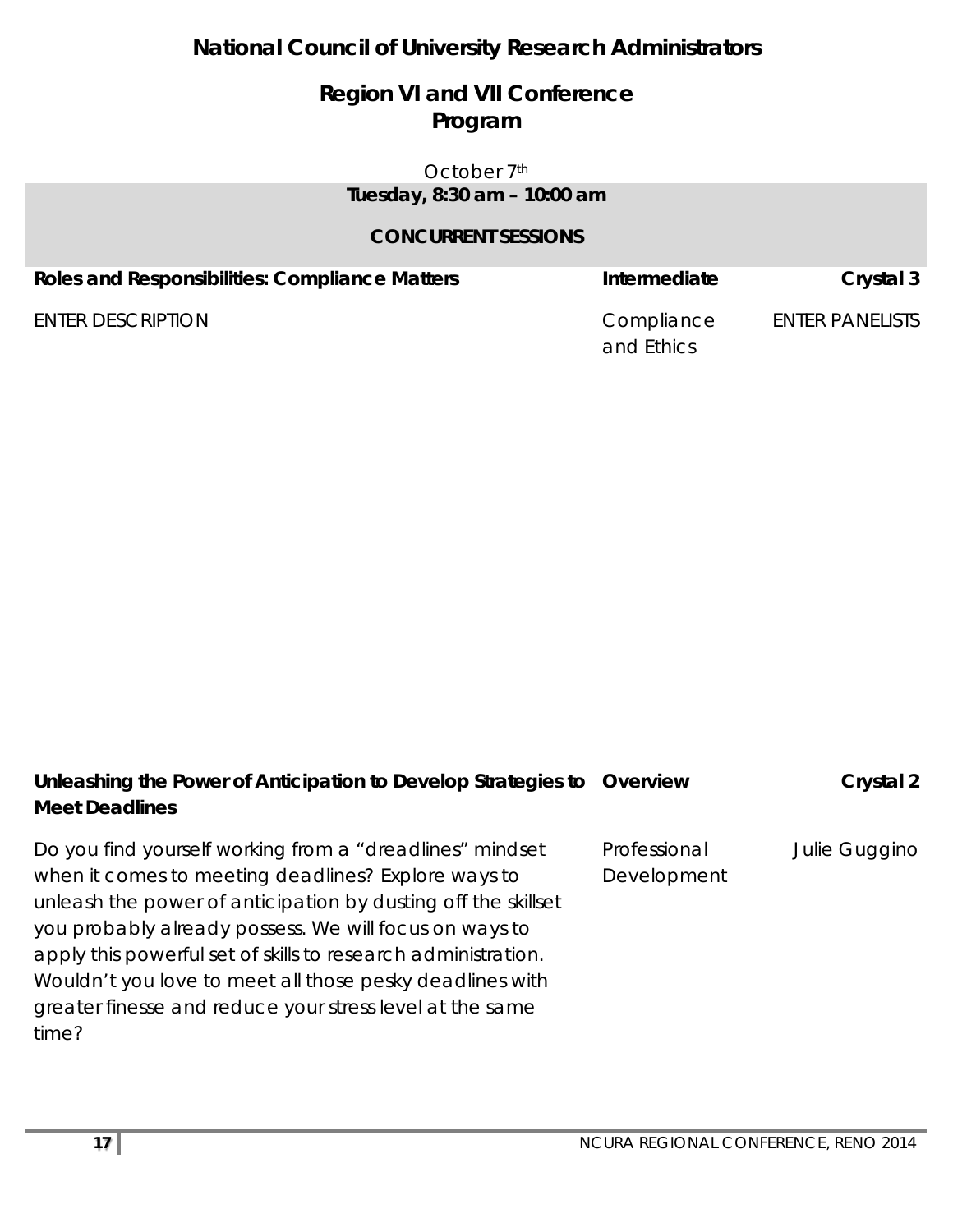## **National Council of University Research Administrators**

## **Region VI and VII Conference Program**

#### October 7<sup>th</sup> *Tuesday, 8:30 am – 10:00 am*

| <b>Roles and Responsibilities: Compliance Matters</b> | Intermediate | Crystal 3              |
|-------------------------------------------------------|--------------|------------------------|
| <b>ENTER DESCRIPTION</b>                              | Compliance   | <b>ENTER PANELISTS</b> |
|                                                       | and Ethics   |                        |

| Unleashing the Power of Anticipation to Develop Strategies to Overview |              | Crystal 2     |
|------------------------------------------------------------------------|--------------|---------------|
| <b>Meet Deadlines</b>                                                  |              |               |
| Do you find yourself working from a "dreadlines" mindset               | Professional | Julie Guggino |
| when it comes to meeting deadlines? Explore ways to                    | Development  |               |
| unleash the power of anticipation by dusting off the skillset          |              |               |
| you probably already possess. We will focus on ways to                 |              |               |
| apply this powerful set of skills to research administration.          |              |               |
| Wouldn't you love to meet all those pesky deadlines with               |              |               |
| greater finesse and reduce your stress level at the same               |              |               |
| time?                                                                  |              |               |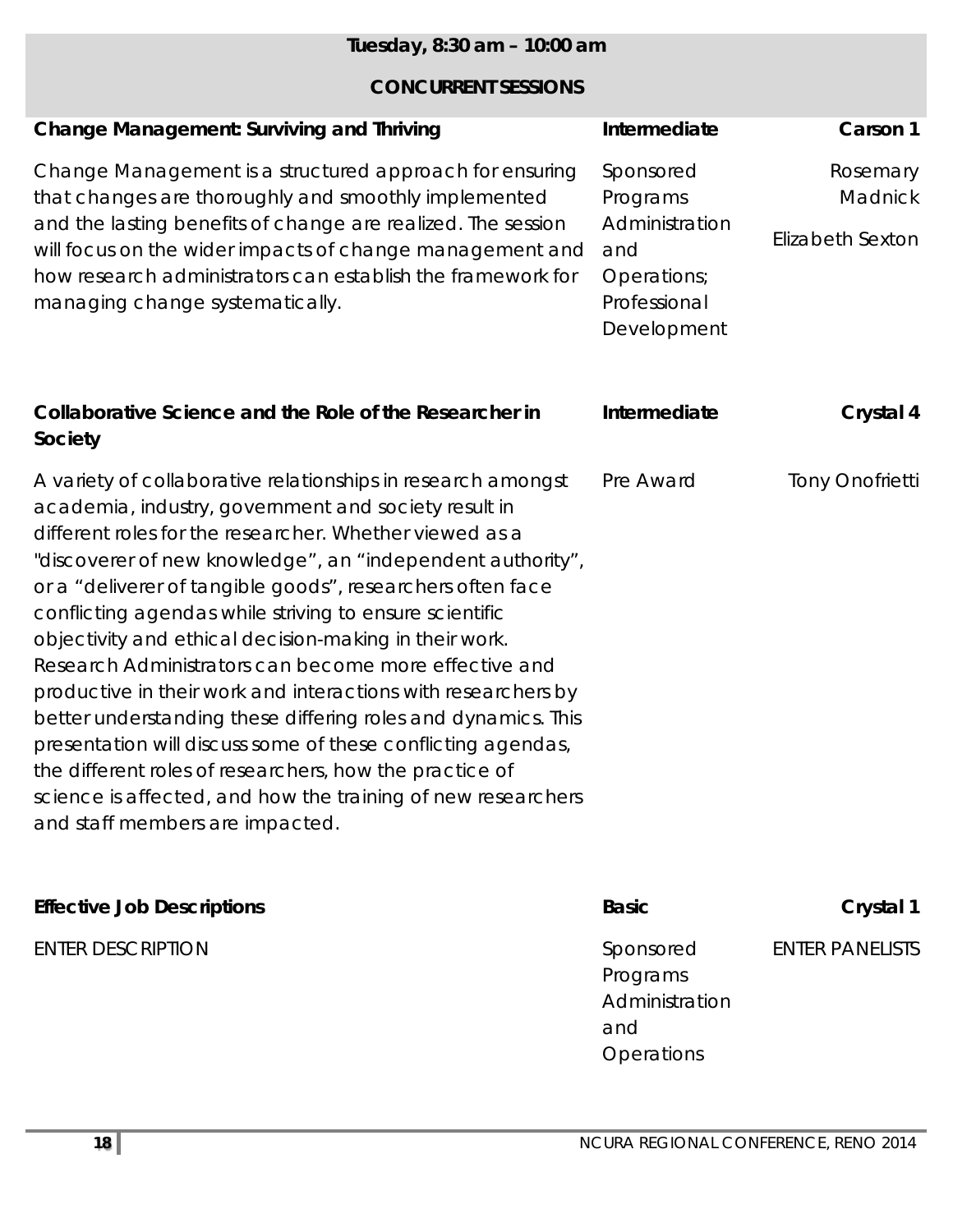| Tuesday, 8:30 am - 10:00 am                                                                                                                                                                                                                                                                                                                                                                                                                                                                                                                                                                                                                                                                                                                                                                                                                               |                                                                                              |                                                |
|-----------------------------------------------------------------------------------------------------------------------------------------------------------------------------------------------------------------------------------------------------------------------------------------------------------------------------------------------------------------------------------------------------------------------------------------------------------------------------------------------------------------------------------------------------------------------------------------------------------------------------------------------------------------------------------------------------------------------------------------------------------------------------------------------------------------------------------------------------------|----------------------------------------------------------------------------------------------|------------------------------------------------|
| <b>CONCURRENT SESSIONS</b>                                                                                                                                                                                                                                                                                                                                                                                                                                                                                                                                                                                                                                                                                                                                                                                                                                |                                                                                              |                                                |
| <b>Change Management: Surviving and Thriving</b>                                                                                                                                                                                                                                                                                                                                                                                                                                                                                                                                                                                                                                                                                                                                                                                                          | Intermediate                                                                                 | Carson 1                                       |
| Change Management is a structured approach for ensuring<br>that changes are thoroughly and smoothly implemented<br>and the lasting benefits of change are realized. The session<br>will focus on the wider impacts of change management and<br>how research administrators can establish the framework for<br>managing change systematically.                                                                                                                                                                                                                                                                                                                                                                                                                                                                                                             | Sponsored<br>Programs<br>Administration<br>and<br>Operations;<br>Professional<br>Development | Rosemary<br>Madnick<br><b>Elizabeth Sexton</b> |
| Collaborative Science and the Role of the Researcher in<br>Society                                                                                                                                                                                                                                                                                                                                                                                                                                                                                                                                                                                                                                                                                                                                                                                        | Intermediate                                                                                 | Crystal 4                                      |
| A variety of collaborative relationships in research amongst<br>academia, industry, government and society result in<br>different roles for the researcher. Whether viewed as a<br>"discoverer of new knowledge", an "independent authority",<br>or a "deliverer of tangible goods", researchers often face<br>conflicting agendas while striving to ensure scientific<br>objectivity and ethical decision-making in their work.<br>Research Administrators can become more effective and<br>productive in their work and interactions with researchers by<br>better understanding these differing roles and dynamics. This<br>presentation will discuss some of these conflicting agendas,<br>the different roles of researchers, how the practice of<br>science is affected, and how the training of new researchers<br>and staff members are impacted. | Pre Award                                                                                    | <b>Tony Onofrietti</b>                         |

| <b>Effective Job Descriptions</b> | <b>Basic</b>   | Crystal 1              |
|-----------------------------------|----------------|------------------------|
| <b>ENTER DESCRIPTION</b>          | Sponsored      | <b>ENTER PANELISTS</b> |
|                                   | Programs       |                        |
|                                   | Administration |                        |
|                                   | and            |                        |
|                                   | Operations     |                        |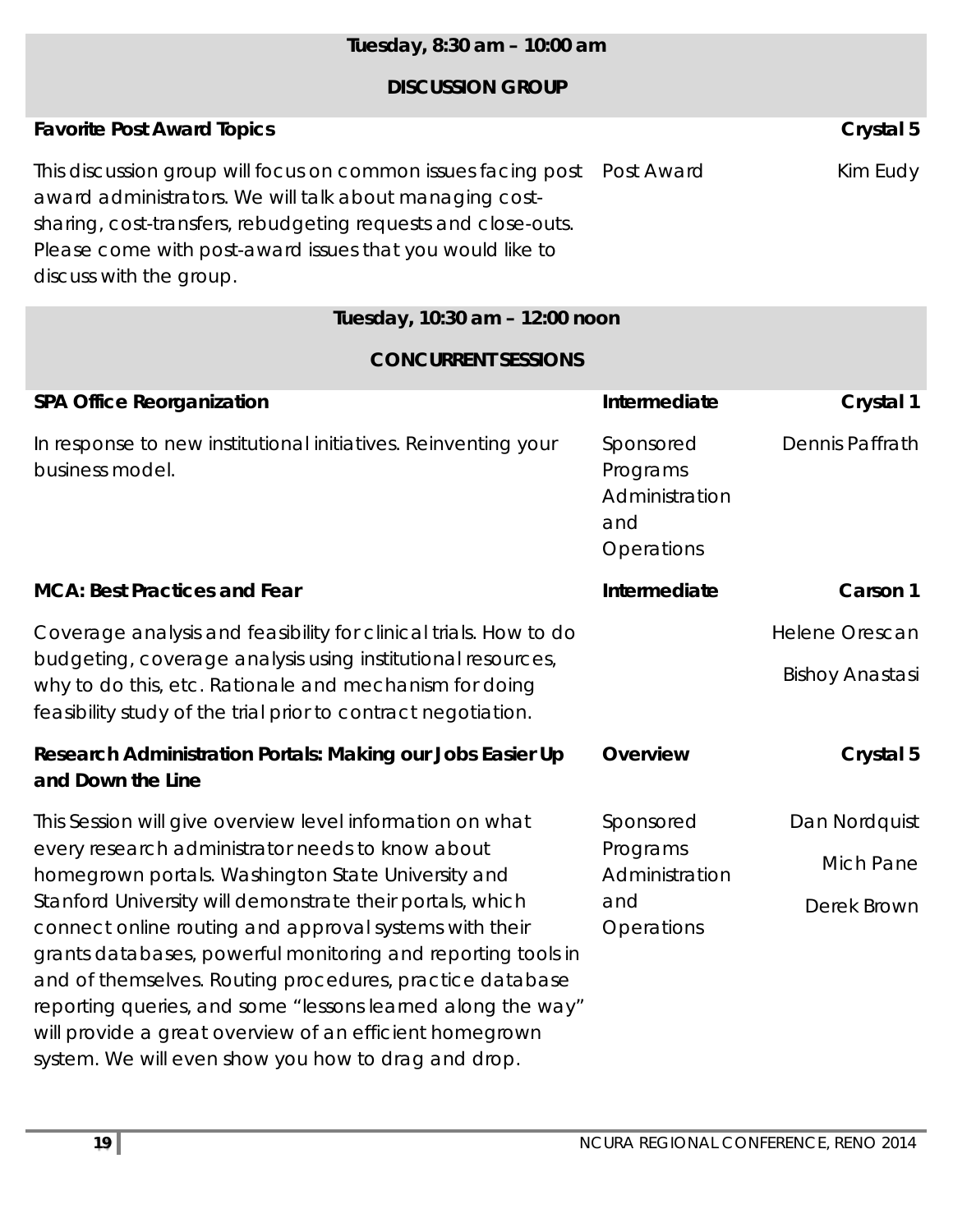## *Tuesday, 8:30 am – 10:00 am* **DISCUSSION GROUP Favorite Post Award Topics** Crystal 5 This discussion group will focus on common issues facing post award administrators. We will talk about managing costsharing, cost-transfers, rebudgeting requests and close-outs. Please come with post-award issues that you would like to discuss with the group. Post Award Kim Eudy *Tuesday, 10:30 am – 12:00 noon* **CONCURRENT SESSIONS SPA Office Reorganization Crystal 1 Intermediate** Crystal 1 In response to new institutional initiatives. Reinventing your business model. Sponsored Programs Administration and **Operations** Dennis Paffrath **MCA: Best Practices and Fear Intermediate Carson 1**

Coverage analysis and feasibility for clinical trials. How to do budgeting, coverage analysis using institutional resources, why to do this, etc. Rationale and mechanism for doing feasibility study of the trial prior to contract negotiation.

| Research Administration Portals: Making our Jobs Easier Up<br>and Down the Line | Overview  | Crystal 5     |
|---------------------------------------------------------------------------------|-----------|---------------|
| This Session will give overview level information on what                       | Sponsored | Dan Nordquist |
| every research administrator needs to know about                                | Programs  |               |

ery research administrator needs to know about homegrown portals. Washington State University and Stanford University will demonstrate their portals, which connect online routing and approval systems with their grants databases, powerful monitoring and reporting tools in and of themselves. Routing procedures, practice database reporting queries, and some "lessons learned along the way" will provide a great overview of an efficient homegrown system. We will even show you how to drag and drop. Administration and **Operations** 

Helene Orescan

Bishoy Anastasi

Mich Pane

Derek Brown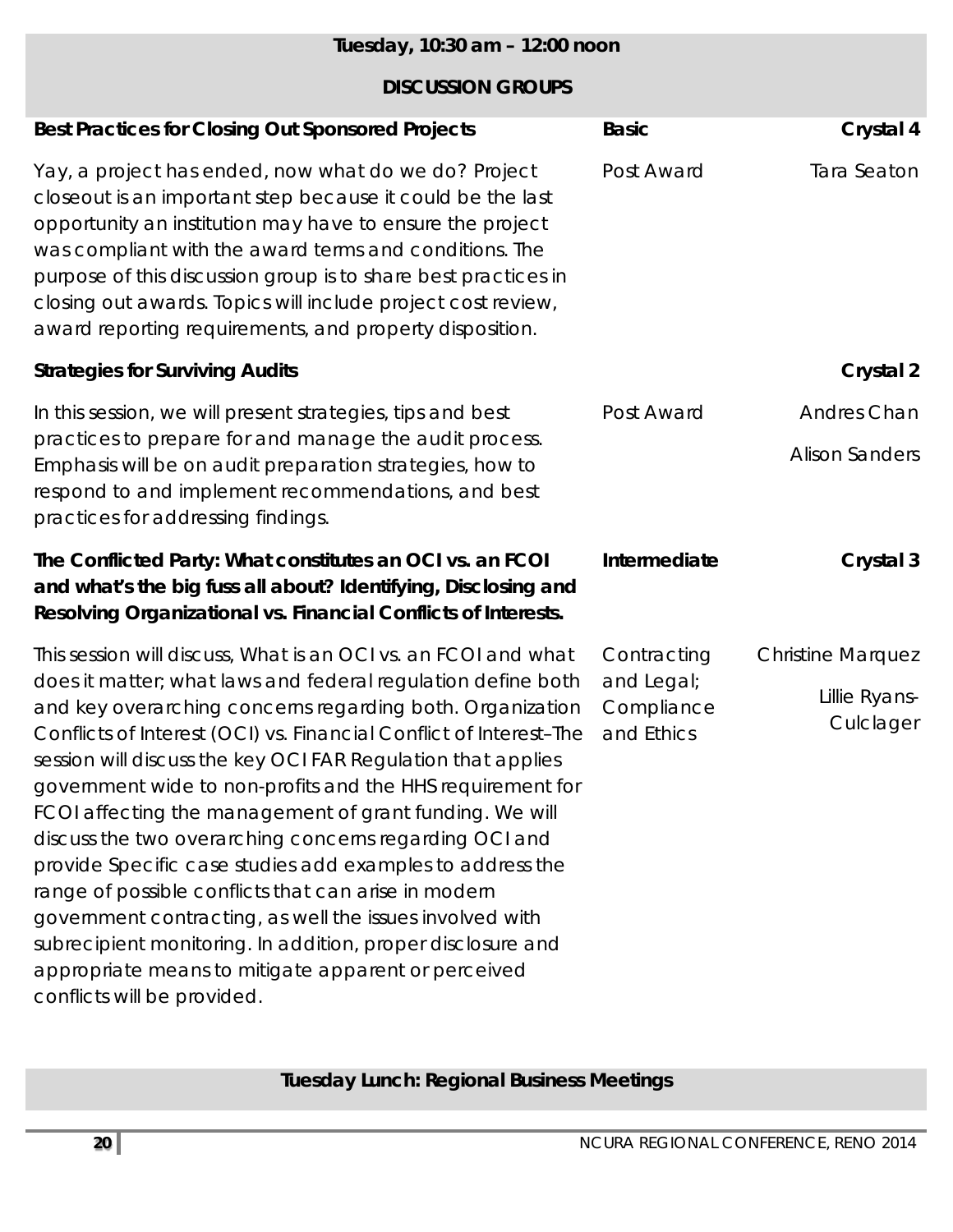| Tuesday, 10:30 am - 12:00 noon                                                                                                                                                                                                                                                                                                                                                                                                                                                                                                                                                                                                                                                                                                                                                                      |                          |                            |
|-----------------------------------------------------------------------------------------------------------------------------------------------------------------------------------------------------------------------------------------------------------------------------------------------------------------------------------------------------------------------------------------------------------------------------------------------------------------------------------------------------------------------------------------------------------------------------------------------------------------------------------------------------------------------------------------------------------------------------------------------------------------------------------------------------|--------------------------|----------------------------|
| <b>DISCUSSION GROUPS</b>                                                                                                                                                                                                                                                                                                                                                                                                                                                                                                                                                                                                                                                                                                                                                                            |                          |                            |
| <b>Best Practices for Closing Out Sponsored Projects</b>                                                                                                                                                                                                                                                                                                                                                                                                                                                                                                                                                                                                                                                                                                                                            | <b>Basic</b>             | Crystal 4                  |
| Yay, a project has ended, now what do we do? Project<br>closeout is an important step because it could be the last<br>opportunity an institution may have to ensure the project<br>was compliant with the award terms and conditions. The<br>purpose of this discussion group is to share best practices in<br>closing out awards. Topics will include project cost review,<br>award reporting requirements, and property disposition.                                                                                                                                                                                                                                                                                                                                                              | Post Award               | Tara Seaton                |
| <b>Strategies for Surviving Audits</b>                                                                                                                                                                                                                                                                                                                                                                                                                                                                                                                                                                                                                                                                                                                                                              |                          | Crystal 2                  |
| In this session, we will present strategies, tips and best                                                                                                                                                                                                                                                                                                                                                                                                                                                                                                                                                                                                                                                                                                                                          | Post Award               | Andres Chan                |
| practices to prepare for and manage the audit process.<br>Emphasis will be on audit preparation strategies, how to<br>respond to and implement recommendations, and best<br>practices for addressing findings.                                                                                                                                                                                                                                                                                                                                                                                                                                                                                                                                                                                      |                          | <b>Alison Sanders</b>      |
| The Conflicted Party: What constitutes an OCI vs. an FCOI<br>and what's the big fuss all about? Identifying, Disclosing and<br>Resolving Organizational vs. Financial Conflicts of Interests.                                                                                                                                                                                                                                                                                                                                                                                                                                                                                                                                                                                                       | Intermediate             | Crystal 3                  |
| This session will discuss, What is an OCI vs. an FCOI and what                                                                                                                                                                                                                                                                                                                                                                                                                                                                                                                                                                                                                                                                                                                                      | Contracting              | <b>Christine Marquez</b>   |
| does it matter; what laws and federal regulation define both<br>and key overarching concerns regarding both. Organization<br>Conflicts of Interest (OCI) vs. Financial Conflict of Interest-The and Ethics<br>session will discuss the key OCI FAR Regulation that applies<br>government wide to non-profits and the HHS requirement for<br>FCOI affecting the management of grant funding. We will<br>discuss the two overarching concerns regarding OCI and<br>provide Specific case studies add examples to address the<br>range of possible conflicts that can arise in modern<br>government contracting, as well the issues involved with<br>subrecipient monitoring. In addition, proper disclosure and<br>appropriate means to mitigate apparent or perceived<br>conflicts will be provided. | and Legal;<br>Compliance | Lillie Ryans-<br>Culclager |

**Tuesday Lunch: Regional Business Meetings**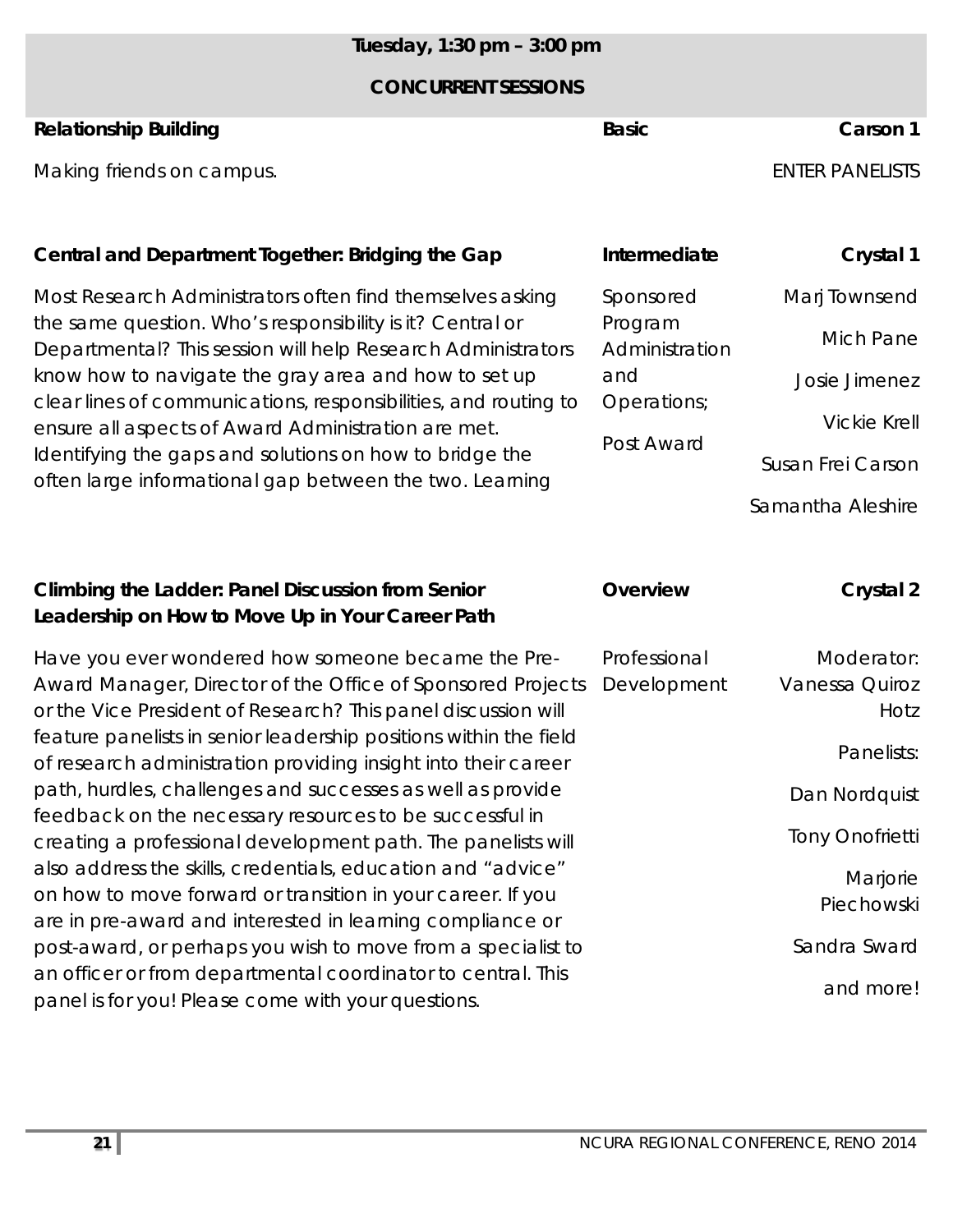### *Tuesday, 1:30 pm – 3:00 pm*

#### **CONCURRENT SESSIONS**

### **Relationship Building Carson 1 Basic Basic Carson 1**

Making friends on campus. The state of the state of the state of the state of the state of the state of the state of the state of the state of the state of the state of the state of the state of the state of the state of t

### Central and Department Together: Bridging the Gap

Most Research Administrators often find themselves asking the same question. Who's responsibility is it? Central or Departmental? This session will help Research Administrators know how to navigate the gray area and how to set up clear lines of communications, responsibilities, and routing to ensure all aspects of Award Administration are met. Identifying the gaps and solutions on how to bridge the often large informational gap between the two. Learning

### **Climbing the Ladder: Panel Discussion from Senior Leadership on How to Move Up in Your Career Path**

Have you ever wondered how someone became the Pre-Award Manager, Director of the Office of Sponsored Projects or the Vice President of Research? This panel discussion will feature panelists in senior leadership positions within the field of research administration providing insight into their career path, hurdles, challenges and successes as well as provide feedback on the necessary resources to be successful in creating a professional development path. The panelists will also address the skills, credentials, education and "advice" on how to move forward or transition in your career. If you are in pre-award and interested in learning compliance or post-award, or perhaps you wish to move from a specialist to an officer or from departmental coordinator to central. This panel is for you! Please come with your questions.

| Intermediate              | Crystal 1           |
|---------------------------|---------------------|
| Sponsored                 | Marj Townsend       |
| Program<br>Administration | Mich Pane           |
| and                       | Josie Jimenez       |
| Operations;               | <b>Vickie Krell</b> |
| Post Award                | Susan Frei Carson   |

Samantha Aleshire

and more!

| Overview                    | Crystal 2                            |
|-----------------------------|--------------------------------------|
| Professional<br>Development | Moderator:<br>Vanessa Quiroz<br>Hotz |
|                             | Panelists:                           |
|                             | Dan Nordquist                        |
|                             | <b>Tony Onofrietti</b>               |
|                             | Marjorie<br>Piechowski               |
|                             | Sandra Sward                         |
|                             |                                      |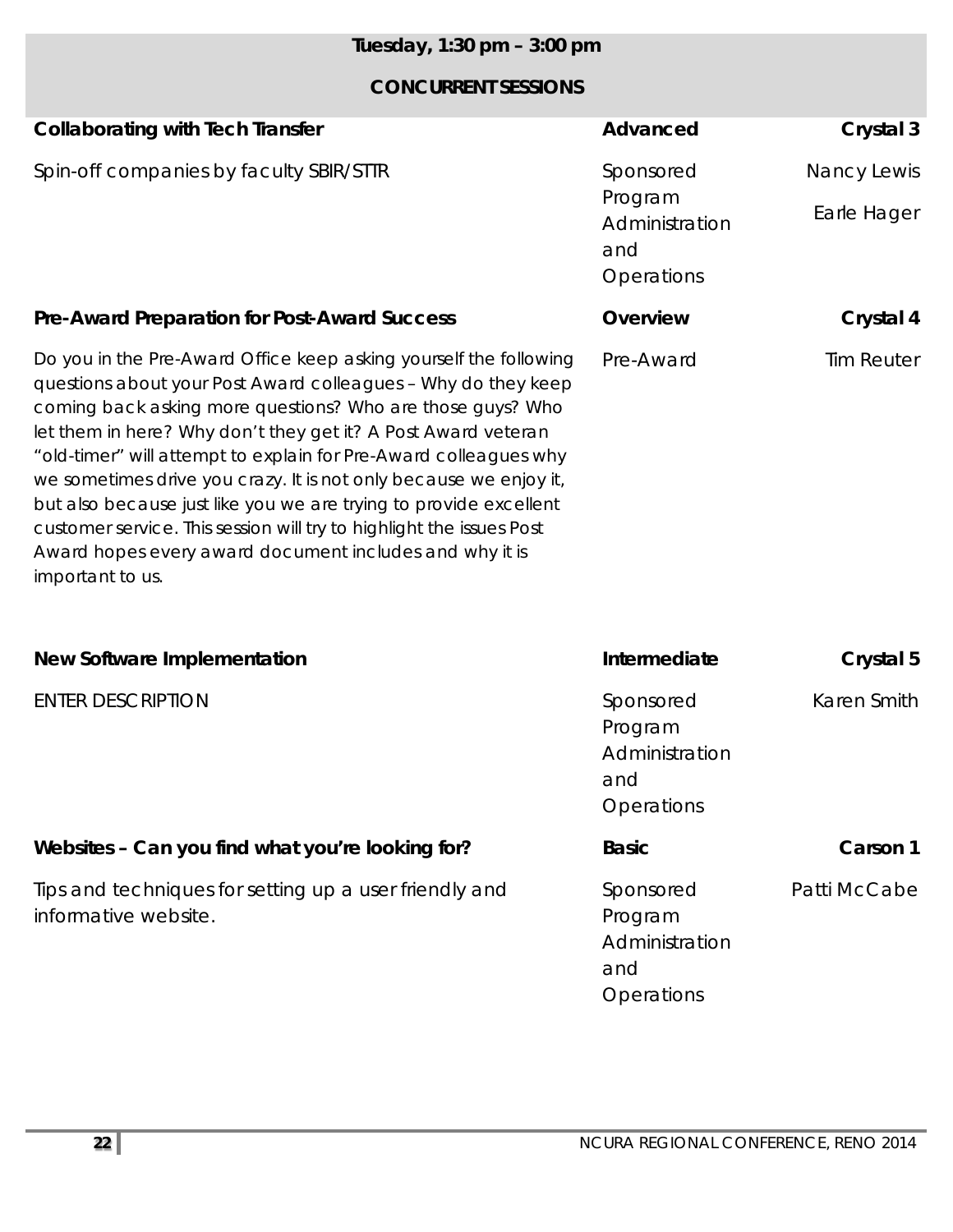## *Tuesday, 1:30 pm – 3:00 pm*

| <b>Collaborating with Tech Transfer</b>                                                                                                                                                                                                                                                                                                                                                                                                                                                                                                                                                                                                | Advanced                                                    | Crystal 3         |
|----------------------------------------------------------------------------------------------------------------------------------------------------------------------------------------------------------------------------------------------------------------------------------------------------------------------------------------------------------------------------------------------------------------------------------------------------------------------------------------------------------------------------------------------------------------------------------------------------------------------------------------|-------------------------------------------------------------|-------------------|
| Spin-off companies by faculty SBIR/STTR                                                                                                                                                                                                                                                                                                                                                                                                                                                                                                                                                                                                | Sponsored                                                   | Nancy Lewis       |
|                                                                                                                                                                                                                                                                                                                                                                                                                                                                                                                                                                                                                                        | Program<br>Administration<br>and<br>Operations              | Earle Hager       |
| <b>Pre-Award Preparation for Post-Award Success</b>                                                                                                                                                                                                                                                                                                                                                                                                                                                                                                                                                                                    | Overview                                                    | Crystal 4         |
| Do you in the Pre-Award Office keep asking yourself the following<br>questions about your Post Award colleagues - Why do they keep<br>coming back asking more questions? Who are those guys? Who<br>let them in here? Why don't they get it? A Post Award veteran<br>"old-timer" will attempt to explain for Pre-Award colleagues why<br>we sometimes drive you crazy. It is not only because we enjoy it,<br>but also because just like you we are trying to provide excellent<br>customer service. This session will try to highlight the issues Post<br>Award hopes every award document includes and why it is<br>important to us. | Pre-Award                                                   | <b>Tim Reuter</b> |
| <b>New Software Implementation</b>                                                                                                                                                                                                                                                                                                                                                                                                                                                                                                                                                                                                     | Intermediate                                                | Crystal 5         |
| <b>ENTER DESCRIPTION</b>                                                                                                                                                                                                                                                                                                                                                                                                                                                                                                                                                                                                               | Sponsored<br>Program<br>Administration<br>and<br>Operations | Karen Smith       |
| Websites - Can you find what you're looking for?                                                                                                                                                                                                                                                                                                                                                                                                                                                                                                                                                                                       | <b>Basic</b>                                                | Carson 1          |
| Tips and techniques for setting up a user friendly and<br>informative website.                                                                                                                                                                                                                                                                                                                                                                                                                                                                                                                                                         | Sponsored<br>Program<br>Administration<br>and<br>Operations | Patti McCabe      |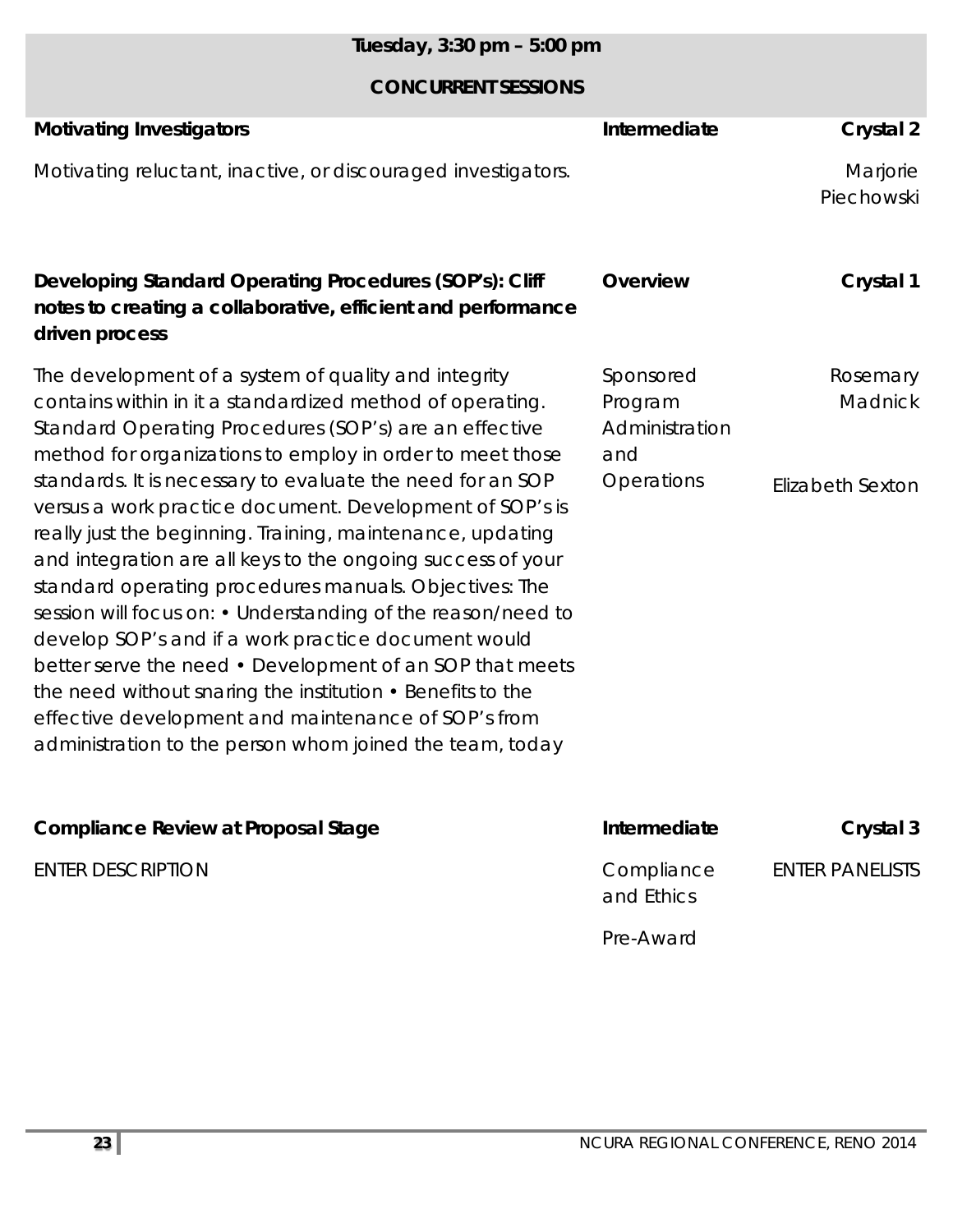## *Tuesday, 3:30 pm – 5:00 pm*

| <b>Motivating Investigators</b><br>Motivating reluctant, inactive, or discouraged investigators.                                                                                                                                                                                                                                                                                                                                                                                                                                                                                                                                                                                        | Intermediate                                  | Crystal 2<br>Marjorie<br>Piechowski |
|-----------------------------------------------------------------------------------------------------------------------------------------------------------------------------------------------------------------------------------------------------------------------------------------------------------------------------------------------------------------------------------------------------------------------------------------------------------------------------------------------------------------------------------------------------------------------------------------------------------------------------------------------------------------------------------------|-----------------------------------------------|-------------------------------------|
| Developing Standard Operating Procedures (SOP's): Cliff<br>notes to creating a collaborative, efficient and performance<br>driven process                                                                                                                                                                                                                                                                                                                                                                                                                                                                                                                                               | Overview                                      | Crystal 1                           |
| The development of a system of quality and integrity<br>contains within in it a standardized method of operating.<br>Standard Operating Procedures (SOP's) are an effective<br>method for organizations to employ in order to meet those                                                                                                                                                                                                                                                                                                                                                                                                                                                | Sponsored<br>Program<br>Administration<br>and | Rosemary<br><b>Madnick</b>          |
| standards. It is necessary to evaluate the need for an SOP<br>versus a work practice document. Development of SOP's is<br>really just the beginning. Training, maintenance, updating<br>and integration are all keys to the ongoing success of your<br>standard operating procedures manuals. Objectives: The<br>session will focus on: • Understanding of the reason/need to<br>develop SOP's and if a work practice document would<br>better serve the need • Development of an SOP that meets<br>the need without snaring the institution $\cdot$ Benefits to the<br>effective development and maintenance of SOP's from<br>administration to the person whom joined the team, today | Operations                                    | Elizabeth Sexton                    |
| <b>Compliance Review at Proposal Stage</b>                                                                                                                                                                                                                                                                                                                                                                                                                                                                                                                                                                                                                                              | Intermediate                                  | Crystal 3                           |
| <b>ENTER DESCRIPTION</b>                                                                                                                                                                                                                                                                                                                                                                                                                                                                                                                                                                                                                                                                | Compliance<br>and Ethics                      | <b>ENTER PANELISTS</b>              |
|                                                                                                                                                                                                                                                                                                                                                                                                                                                                                                                                                                                                                                                                                         | Pre-Award                                     |                                     |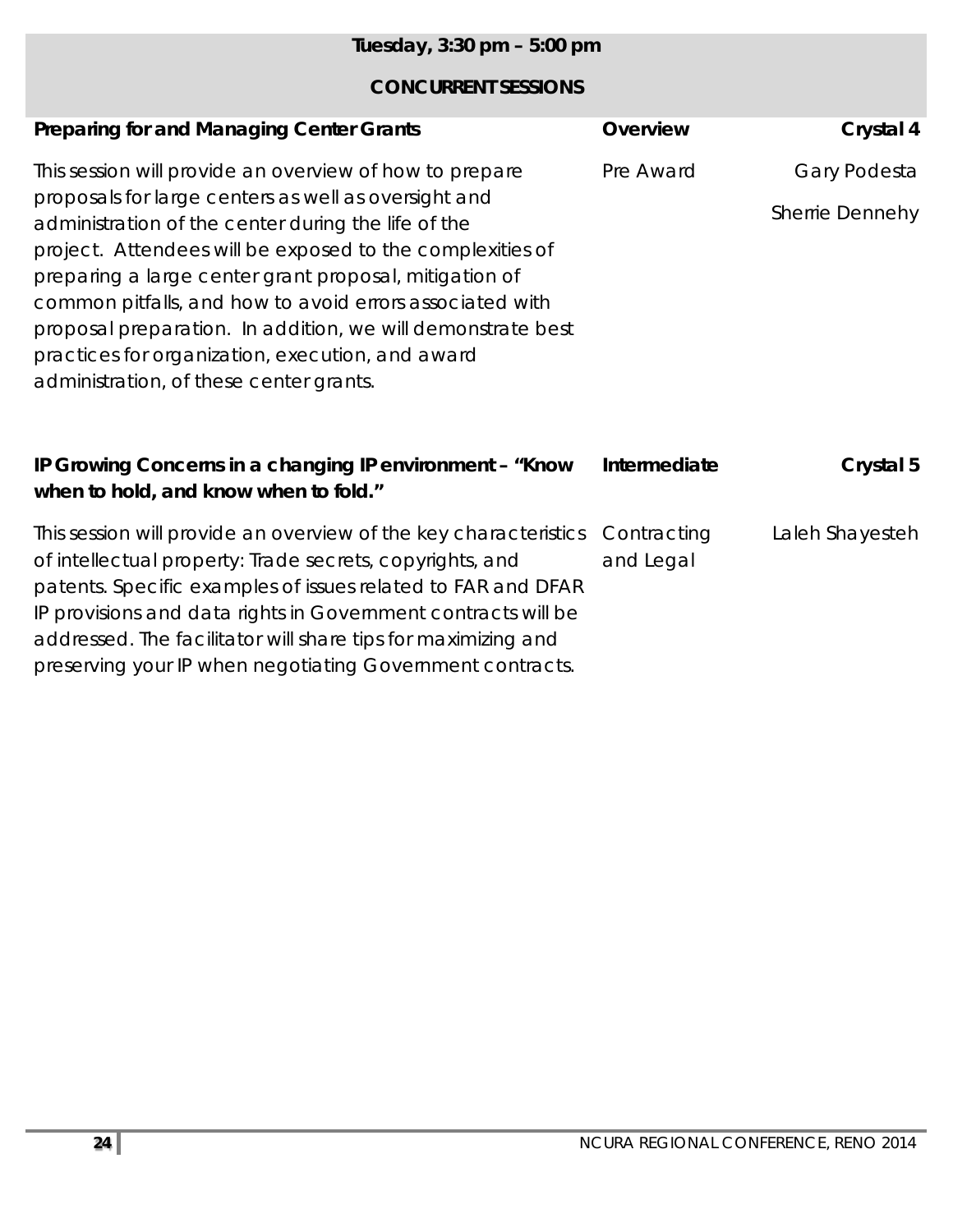| Tuesday, 3:30 pm - 5:00 pm                                                                                                                                                                                                                                                                                                                                                                                                                                                                                              |                          |                                 |
|-------------------------------------------------------------------------------------------------------------------------------------------------------------------------------------------------------------------------------------------------------------------------------------------------------------------------------------------------------------------------------------------------------------------------------------------------------------------------------------------------------------------------|--------------------------|---------------------------------|
| <b>CONCURRENT SESSIONS</b>                                                                                                                                                                                                                                                                                                                                                                                                                                                                                              |                          |                                 |
| <b>Preparing for and Managing Center Grants</b>                                                                                                                                                                                                                                                                                                                                                                                                                                                                         | <b>Overview</b>          | Crystal 4                       |
| This session will provide an overview of how to prepare<br>proposals for large centers as well as oversight and<br>administration of the center during the life of the<br>project. Attendees will be exposed to the complexities of<br>preparing a large center grant proposal, mitigation of<br>common pitfalls, and how to avoid errors associated with<br>proposal preparation. In addition, we will demonstrate best<br>practices for organization, execution, and award<br>administration, of these center grants. | Pre Award                | Gary Podesta<br>Sherrie Dennehy |
| IP Growing Concerns in a changing IP environment - "Know"<br>when to hold, and know when to fold."                                                                                                                                                                                                                                                                                                                                                                                                                      | Intermediate             | Crystal 5                       |
| This session will provide an overview of the key characteristics<br>of intellectual property: Trade secrets, copyrights, and                                                                                                                                                                                                                                                                                                                                                                                            | Contracting<br>and Legal | Laleh Shayesteh                 |

patents. Specific examples of issues related to FAR and DFAR IP provisions and data rights in Government contracts will be addressed. The facilitator will share tips for maximizing and preserving your IP when negotiating Government contracts.

**24** NCURA REGIONAL CONFERENCE, RENO 2014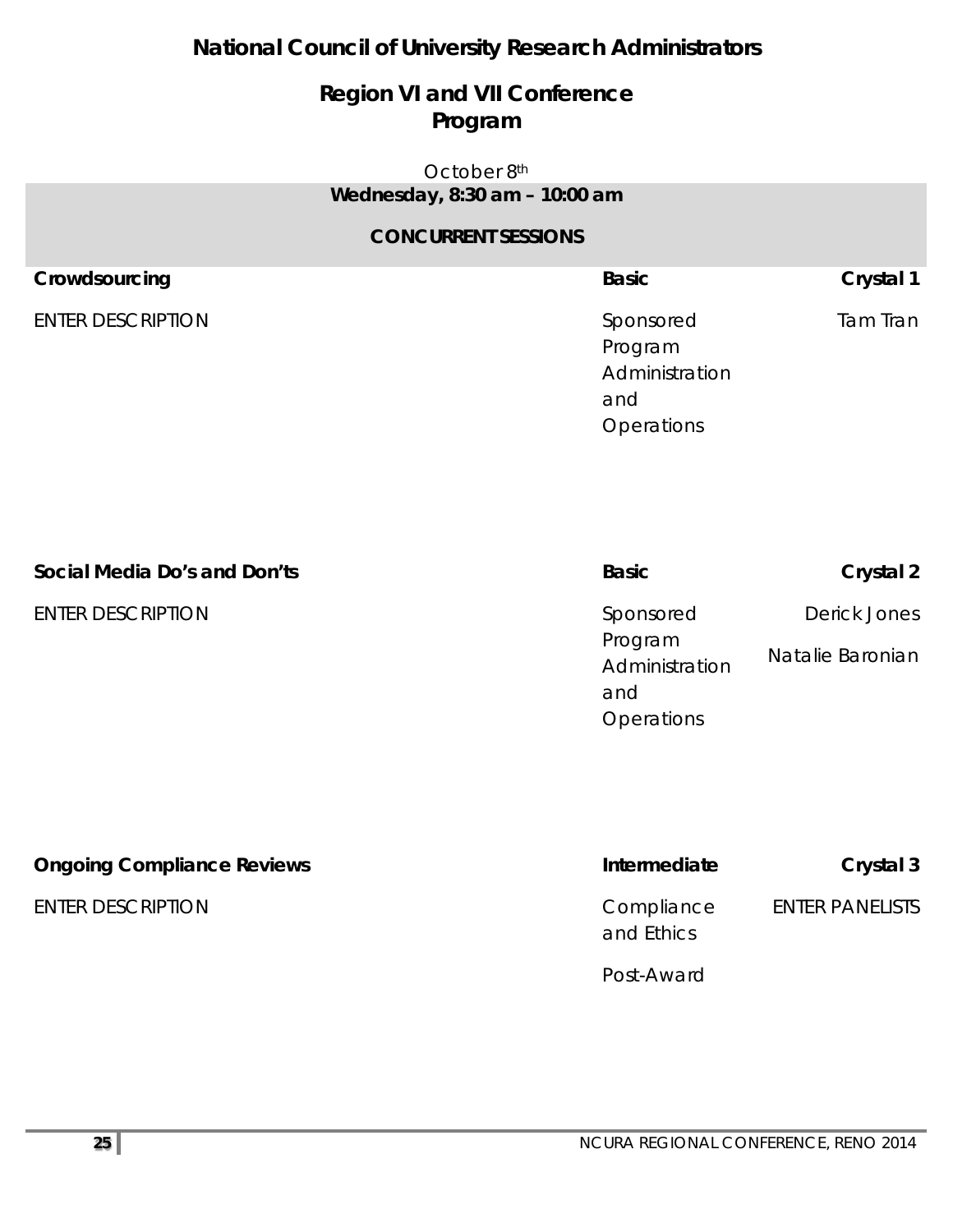## **National Council of University Research Administrators**

## **Region VI and VII Conference Program**

#### October 8th *Wednesday, 8:30 am – 10:00 am*

| Crowdsourcing            | <b>Basic</b>                                                       | Crystal 1 |
|--------------------------|--------------------------------------------------------------------|-----------|
| <b>ENTER DESCRIPTION</b> | Sponsored<br>Program<br>Administration<br>and<br><b>Operations</b> | Tam Tran  |

| Social Media Do's and Don'ts | <b>Basic</b>                                  | Crystal 2                        |
|------------------------------|-----------------------------------------------|----------------------------------|
| <b>ENTER DESCRIPTION</b>     | Sponsored<br>Program<br>Administration<br>and | Derick Jones<br>Natalie Baronian |
|                              | <b>Operations</b>                             |                                  |

| <b>Ongoing Compliance Reviews</b> | Intermediate             | Crystal 3              |
|-----------------------------------|--------------------------|------------------------|
| <b>ENTER DESCRIPTION</b>          | Compliance<br>and Ethics | <b>ENTER PANELISTS</b> |
|                                   | Post-Award               |                        |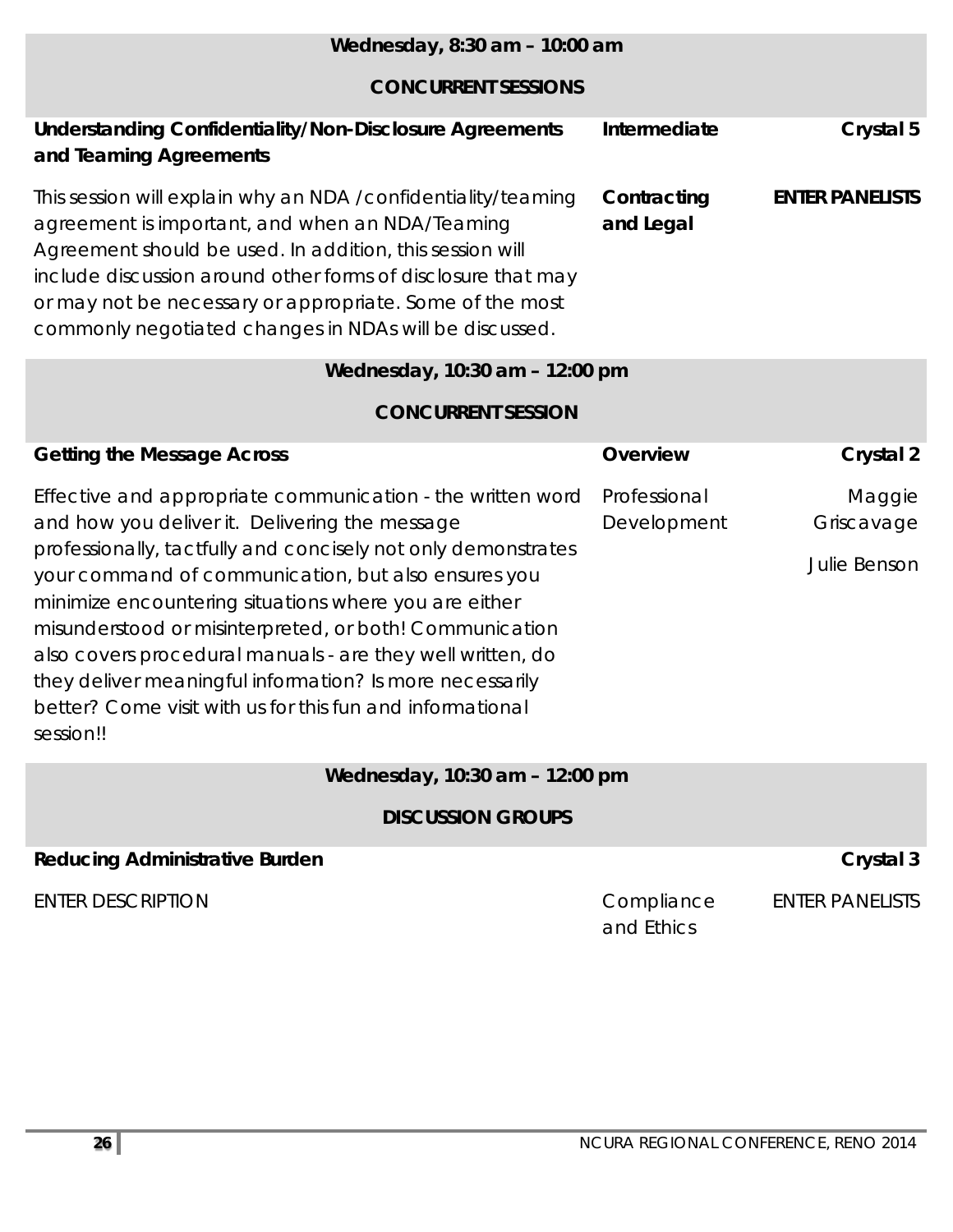| Wednesday, 8:30 am - 10:00 am                                                                                                                                                                                                                                                                                                                                                                                                                                                                                                                                |                             |                                      |
|--------------------------------------------------------------------------------------------------------------------------------------------------------------------------------------------------------------------------------------------------------------------------------------------------------------------------------------------------------------------------------------------------------------------------------------------------------------------------------------------------------------------------------------------------------------|-----------------------------|--------------------------------------|
| <b>CONCURRENT SESSIONS</b>                                                                                                                                                                                                                                                                                                                                                                                                                                                                                                                                   |                             |                                      |
| <b>Understanding Confidentiality/Non-Disclosure Agreements</b><br>and Teaming Agreements                                                                                                                                                                                                                                                                                                                                                                                                                                                                     | Intermediate                | Crystal 5                            |
| This session will explain why an NDA / confidentiality/teaming<br>agreement is important, and when an NDA/Teaming<br>Agreement should be used. In addition, this session will<br>include discussion around other forms of disclosure that may<br>or may not be necessary or appropriate. Some of the most<br>commonly negotiated changes in NDAs will be discussed.                                                                                                                                                                                          | Contracting<br>and Legal    | <b>ENTER PANELISTS</b>               |
| Wednesday, 10:30 am - 12:00 pm                                                                                                                                                                                                                                                                                                                                                                                                                                                                                                                               |                             |                                      |
| <b>CONCURRENT SESSION</b>                                                                                                                                                                                                                                                                                                                                                                                                                                                                                                                                    |                             |                                      |
| <b>Getting the Message Across</b>                                                                                                                                                                                                                                                                                                                                                                                                                                                                                                                            | Overview                    | <b>Crystal 2</b>                     |
| Effective and appropriate communication - the written word<br>and how you deliver it. Delivering the message<br>professionally, tactfully and concisely not only demonstrates<br>your command of communication, but also ensures you<br>minimize encountering situations where you are either<br>misunderstood or misinterpreted, or both! Communication<br>also covers procedural manuals - are they well written, do<br>they deliver meaningful information? Is more necessarily<br>better? Come visit with us for this fun and informational<br>session!! | Professional<br>Development | Maggie<br>Griscavage<br>Julie Benson |
| Wednesday, 10:30 am - 12:00 pm                                                                                                                                                                                                                                                                                                                                                                                                                                                                                                                               |                             |                                      |
| <b>DISCUSSION GROUPS</b>                                                                                                                                                                                                                                                                                                                                                                                                                                                                                                                                     |                             |                                      |
| <b>Reducing Administrative Burden</b>                                                                                                                                                                                                                                                                                                                                                                                                                                                                                                                        |                             | Crystal 3                            |
| <b>ENTER DESCRIPTION</b>                                                                                                                                                                                                                                                                                                                                                                                                                                                                                                                                     | Compliance<br>and Ethics    | <b>ENTER PANELISTS</b>               |